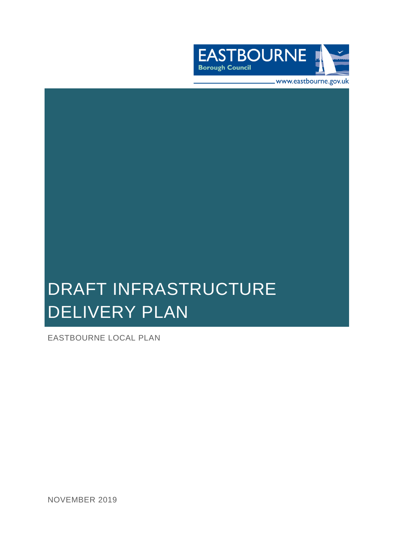

www.eastbourne.gov.uk\_

# DRAFT INFRASTRUCTURE DELIVERY PLAN

EASTBOURNE LOCAL PLAN

NOVEMBER 2019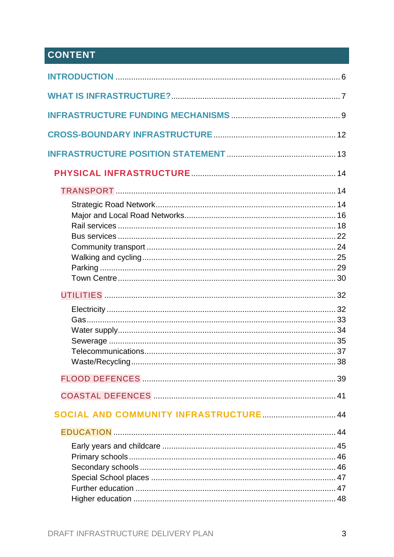# **CONTENT**

| SOCIAL AND COMMUNITY INFRASTRUCTURE  44 |  |
|-----------------------------------------|--|
|                                         |  |
|                                         |  |
|                                         |  |
|                                         |  |
|                                         |  |
|                                         |  |
|                                         |  |
|                                         |  |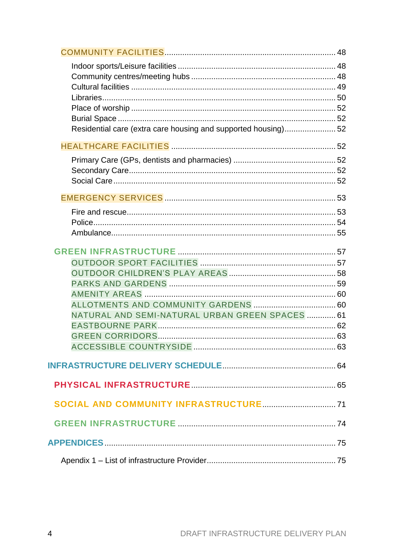| Residential care (extra care housing and supported housing)52 |  |
|---------------------------------------------------------------|--|
|                                                               |  |
|                                                               |  |
|                                                               |  |
|                                                               |  |
|                                                               |  |
|                                                               |  |
|                                                               |  |
|                                                               |  |
|                                                               |  |
|                                                               |  |
|                                                               |  |
|                                                               |  |
|                                                               |  |
|                                                               |  |
| NATURAL AND SEMI-NATURAL URBAN GREEN SPACES  61               |  |
|                                                               |  |
|                                                               |  |
|                                                               |  |
|                                                               |  |
|                                                               |  |
|                                                               |  |
|                                                               |  |
|                                                               |  |
|                                                               |  |
|                                                               |  |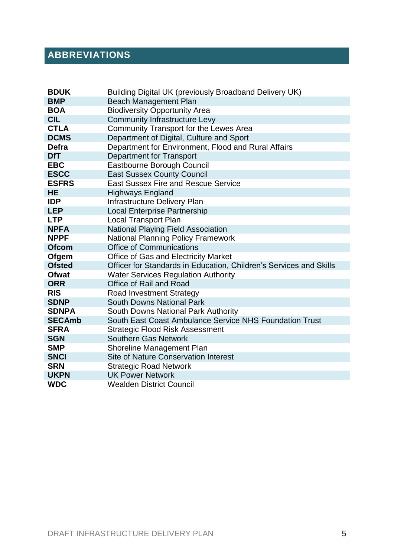# **ABBREVIATIONS**

| <b>BDUK</b>   | Building Digital UK (previously Broadband Delivery UK)             |
|---------------|--------------------------------------------------------------------|
| <b>BMP</b>    | Beach Management Plan                                              |
| <b>BOA</b>    | <b>Biodiversity Opportunity Area</b>                               |
| <b>CIL</b>    | <b>Community Infrastructure Levy</b>                               |
| <b>CTLA</b>   | Community Transport for the Lewes Area                             |
| <b>DCMS</b>   | Department of Digital, Culture and Sport                           |
| Defra         | Department for Environment, Flood and Rural Affairs                |
| <b>DfT</b>    | <b>Department for Transport</b>                                    |
| <b>EBC</b>    | Eastbourne Borough Council                                         |
| <b>ESCC</b>   | <b>East Sussex County Council</b>                                  |
| <b>ESFRS</b>  | <b>East Sussex Fire and Rescue Service</b>                         |
| HE            | <b>Highways England</b>                                            |
| <b>IDP</b>    | Infrastructure Delivery Plan                                       |
| <b>LEP</b>    | <b>Local Enterprise Partnership</b>                                |
| <b>LTP</b>    | <b>Local Transport Plan</b>                                        |
| <b>NPFA</b>   | <b>National Playing Field Association</b>                          |
| <b>NPPF</b>   | <b>National Planning Policy Framework</b>                          |
| <b>Ofcom</b>  | <b>Office of Communications</b>                                    |
| Ofgem         | Office of Gas and Electricity Market                               |
| <b>Ofsted</b> | Officer for Standards in Education, Children's Services and Skills |
| <b>Ofwat</b>  | <b>Water Services Regulation Authority</b>                         |
| <b>ORR</b>    | Office of Rail and Road                                            |
| <b>RIS</b>    | Road Investment Strategy                                           |
| <b>SDNP</b>   | <b>South Downs National Park</b>                                   |
| <b>SDNPA</b>  | South Downs National Park Authority                                |
| <b>SECAmb</b> | South East Coast Ambulance Service NHS Foundation Trust            |
| <b>SFRA</b>   | <b>Strategic Flood Risk Assessment</b>                             |
| <b>SGN</b>    | <b>Southern Gas Network</b>                                        |
| <b>SMP</b>    | <b>Shoreline Management Plan</b>                                   |
| <b>SNCI</b>   | <b>Site of Nature Conservation Interest</b>                        |
| <b>SRN</b>    | <b>Strategic Road Network</b>                                      |
| <b>UKPN</b>   | <b>UK Power Network</b>                                            |
| <b>WDC</b>    | <b>Wealden District Council</b>                                    |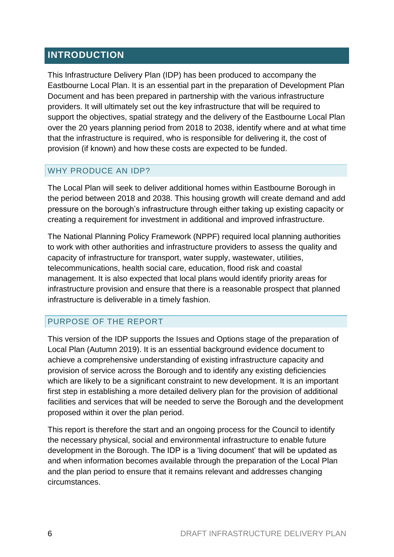## <span id="page-5-0"></span>**INTRODUCTION**

This Infrastructure Delivery Plan (IDP) has been produced to accompany the Eastbourne Local Plan. It is an essential part in the preparation of Development Plan Document and has been prepared in partnership with the various infrastructure providers. It will ultimately set out the key infrastructure that will be required to support the objectives, spatial strategy and the delivery of the Eastbourne Local Plan over the 20 years planning period from 2018 to 2038, identify where and at what time that the infrastructure is required, who is responsible for delivering it, the cost of provision (if known) and how these costs are expected to be funded.

## WHY PRODUCE AN IDP?

The Local Plan will seek to deliver additional homes within Eastbourne Borough in the period between 2018 and 2038. This housing growth will create demand and add pressure on the borough's infrastructure through either taking up existing capacity or creating a requirement for investment in additional and improved infrastructure.

The National Planning Policy Framework (NPPF) required local planning authorities to work with other authorities and infrastructure providers to assess the quality and capacity of infrastructure for transport, water supply, wastewater, utilities, telecommunications, health social care, education, flood risk and coastal management. It is also expected that local plans would identify priority areas for infrastructure provision and ensure that there is a reasonable prospect that planned infrastructure is deliverable in a timely fashion.

## PURPOSE OF THE REPORT

This version of the IDP supports the Issues and Options stage of the preparation of Local Plan (Autumn 2019). It is an essential background evidence document to achieve a comprehensive understanding of existing infrastructure capacity and provision of service across the Borough and to identify any existing deficiencies which are likely to be a significant constraint to new development. It is an important first step in establishing a more detailed delivery plan for the provision of additional facilities and services that will be needed to serve the Borough and the development proposed within it over the plan period.

This report is therefore the start and an ongoing process for the Council to identify the necessary physical, social and environmental infrastructure to enable future development in the Borough. The IDP is a 'living document' that will be updated as and when information becomes available through the preparation of the Local Plan and the plan period to ensure that it remains relevant and addresses changing circumstances.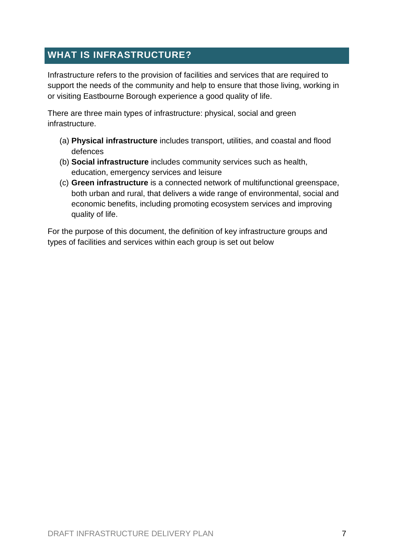# <span id="page-6-0"></span>**WHAT IS INFRASTRUCTURE?**

Infrastructure refers to the provision of facilities and services that are required to support the needs of the community and help to ensure that those living, working in or visiting Eastbourne Borough experience a good quality of life.

There are three main types of infrastructure: physical, social and green infrastructure.

- (a) **Physical infrastructure** includes transport, utilities, and coastal and flood defences
- (b) **Social infrastructure** includes community services such as health, education, emergency services and leisure
- (c) **Green infrastructure** is a connected network of multifunctional greenspace, both urban and rural, that delivers a wide range of environmental, social and economic benefits, including promoting ecosystem services and improving quality of life.

For the purpose of this document, the definition of key infrastructure groups and types of facilities and services within each group is set out below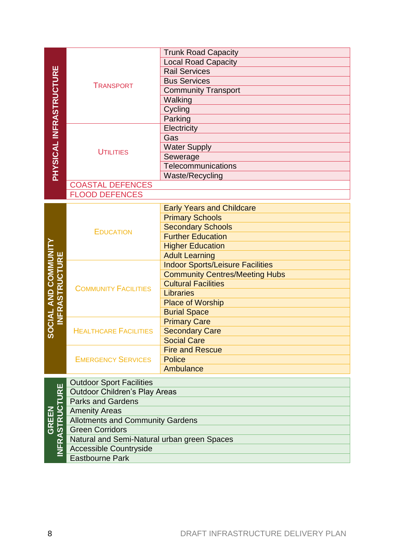|                                        |                                             | <b>Trunk Road Capacity</b>              |
|----------------------------------------|---------------------------------------------|-----------------------------------------|
|                                        |                                             | <b>Local Road Capacity</b>              |
|                                        |                                             |                                         |
|                                        |                                             | <b>Rail Services</b>                    |
|                                        | <b>TRANSPORT</b>                            | <b>Bus Services</b>                     |
|                                        |                                             | <b>Community Transport</b>              |
|                                        |                                             | Walking                                 |
|                                        |                                             |                                         |
|                                        |                                             | Cycling                                 |
|                                        |                                             | Parking                                 |
|                                        |                                             | Electricity                             |
|                                        |                                             | Gas                                     |
|                                        | <b>UTILITIES</b>                            | <b>Water Supply</b>                     |
| <b>PHYSICAL INFRASTRUCTURE</b>         |                                             |                                         |
|                                        |                                             | Sewerage                                |
|                                        |                                             | Telecommunications                      |
|                                        |                                             | Waste/Recycling                         |
|                                        | <b>COASTAL DEFENCES</b>                     |                                         |
|                                        | <b>FLOOD DEFENCES</b>                       |                                         |
|                                        |                                             |                                         |
|                                        |                                             | <b>Early Years and Childcare</b>        |
|                                        |                                             | <b>Primary Schools</b>                  |
|                                        |                                             | <b>Secondary Schools</b>                |
|                                        | <b>EDUCATION</b>                            |                                         |
|                                        |                                             | <b>Further Education</b>                |
|                                        |                                             | <b>Higher Education</b>                 |
|                                        |                                             | <b>Adult Learning</b>                   |
|                                        |                                             | <b>Indoor Sports/Leisure Facilities</b> |
|                                        | <b>COMMUNITY FACILITIES</b>                 |                                         |
|                                        |                                             | <b>Community Centres/Meeting Hubs</b>   |
|                                        |                                             | <b>Cultural Facilities</b>              |
|                                        |                                             | <b>Libraries</b>                        |
|                                        |                                             | <b>Place of Worship</b>                 |
|                                        |                                             | <b>Burial Space</b>                     |
| SOCIAL AND COMMUNITY<br>INFRASTRUCTURE |                                             |                                         |
|                                        |                                             | <b>Primary Care</b>                     |
|                                        | <b>HEALTHCARE FACILITIES</b>                | <b>Secondary Care</b>                   |
|                                        |                                             | <b>Social Care</b>                      |
|                                        |                                             | <b>Fire and Rescue</b>                  |
|                                        | <b>EMERGENCY SERVICES</b>                   | <b>Police</b>                           |
|                                        |                                             | Ambulance                               |
|                                        |                                             |                                         |
|                                        | <b>Outdoor Sport Facilities</b>             |                                         |
|                                        | <b>Outdoor Children's Play Areas</b>        |                                         |
|                                        | <b>Parks and Gardens</b>                    |                                         |
| NFRASTRUCTURE                          |                                             |                                         |
| GREEN                                  | <b>Amenity Areas</b>                        |                                         |
|                                        | <b>Allotments and Community Gardens</b>     |                                         |
|                                        | <b>Green Corridors</b>                      |                                         |
|                                        | Natural and Semi-Natural urban green Spaces |                                         |
|                                        | <b>Accessible Countryside</b>               |                                         |
|                                        |                                             |                                         |
|                                        | <b>Eastbourne Park</b>                      |                                         |
|                                        |                                             |                                         |
|                                        |                                             |                                         |
|                                        |                                             |                                         |
|                                        |                                             |                                         |
|                                        |                                             |                                         |
|                                        |                                             |                                         |
|                                        |                                             |                                         |
|                                        |                                             |                                         |
| 8                                      |                                             | DRAFT INFRASTRUCTURE DELIVERY PLAN      |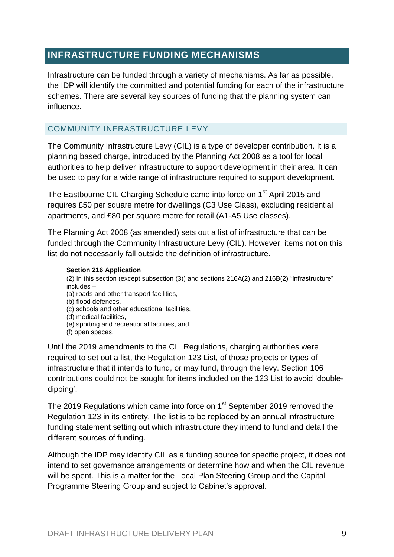## <span id="page-8-0"></span>**INFRASTRUCTURE FUNDING MECHANISMS**

Infrastructure can be funded through a variety of mechanisms. As far as possible, the IDP will identify the committed and potential funding for each of the infrastructure schemes. There are several key sources of funding that the planning system can influence.

## COMMUNITY INFRASTRUCTURE LEVY

The Community Infrastructure Levy (CIL) is a type of developer contribution. It is a planning based charge, introduced by the Planning Act 2008 as a tool for local authorities to help deliver infrastructure to support development in their area. It can be used to pay for a wide range of infrastructure required to support development.

The Eastbourne CIL Charging Schedule came into force on 1<sup>st</sup> April 2015 and requires £50 per square metre for dwellings (C3 Use Class), excluding residential apartments, and £80 per square metre for retail (A1-A5 Use classes).

The Planning Act 2008 (as amended) sets out a list of infrastructure that can be funded through the Community Infrastructure Levy (CIL). However, items not on this list do not necessarily fall outside the definition of infrastructure.

#### **Section 216 Application**

- (2) In this section (except subsection (3)) and sections 216A(2) and 216B(2) "infrastructure" includes –
- (a) roads and other transport facilities,
- (b) flood defences,
- (c) schools and other educational facilities,
- (d) medical facilities,
- (e) sporting and recreational facilities, and
- (f) open spaces.

Until the 2019 amendments to the CIL Regulations, charging authorities were required to set out a list, the Regulation 123 List, of those projects or types of infrastructure that it intends to fund, or may fund, through the levy. Section 106 contributions could not be sought for items included on the 123 List to avoid 'doubledipping'.

The 2019 Regulations which came into force on 1<sup>st</sup> September 2019 removed the Regulation 123 in its entirety. The list is to be replaced by an annual infrastructure funding statement setting out which infrastructure they intend to fund and detail the different sources of funding.

Although the IDP may identify CIL as a funding source for specific project, it does not intend to set governance arrangements or determine how and when the CIL revenue will be spent. This is a matter for the Local Plan Steering Group and the Capital Programme Steering Group and subject to Cabinet's approval.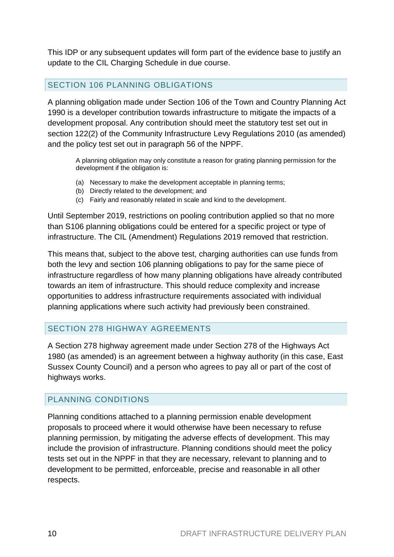This IDP or any subsequent updates will form part of the evidence base to justify an update to the CIL Charging Schedule in due course.

## SECTION 106 PLANNING OBLIGATIONS

A planning obligation made under Section 106 of the Town and Country Planning Act 1990 is a developer contribution towards infrastructure to mitigate the impacts of a development proposal. Any contribution should meet the statutory test set out in section 122(2) of the Community Infrastructure Levy Regulations 2010 (as amended) and the policy test set out in paragraph 56 of the NPPF.

A planning obligation may only constitute a reason for grating planning permission for the development if the obligation is:

- (a) Necessary to make the development acceptable in planning terms;
- (b) Directly related to the development; and
- (c) Fairly and reasonably related in scale and kind to the development.

Until September 2019, restrictions on pooling contribution applied so that no more than S106 planning obligations could be entered for a specific project or type of infrastructure. The CIL (Amendment) Regulations 2019 removed that restriction.

This means that, subject to the above test, charging authorities can use funds from both the levy and section 106 planning obligations to pay for the same piece of infrastructure regardless of how many planning obligations have already contributed towards an item of infrastructure. This should reduce complexity and increase opportunities to address infrastructure requirements associated with individual planning applications where such activity had previously been constrained.

## SECTION 278 HIGHWAY AGREEMENTS

A Section 278 highway agreement made under Section 278 of the Highways Act 1980 (as amended) is an agreement between a highway authority (in this case, East Sussex County Council) and a person who agrees to pay all or part of the cost of highways works.

## PLANNING CONDITIONS

Planning conditions attached to a planning permission enable development proposals to proceed where it would otherwise have been necessary to refuse planning permission, by mitigating the adverse effects of development. This may include the provision of infrastructure. Planning conditions should meet the policy tests set out in the NPPF in that they are necessary, relevant to planning and to development to be permitted, enforceable, precise and reasonable in all other respects.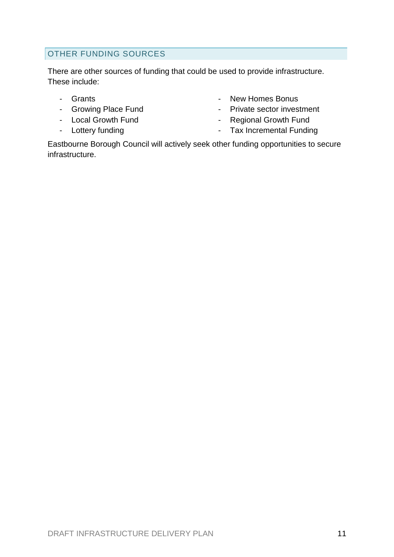## OTHER FUNDING SOURCES

There are other sources of funding that could be used to provide infrastructure. These include:

- Grants
- Growing Place Fund
- Local Growth Fund
- Lottery funding
- New Homes Bonus
- Private sector investment
- Regional Growth Fund
- Tax Incremental Funding

Eastbourne Borough Council will actively seek other funding opportunities to secure infrastructure.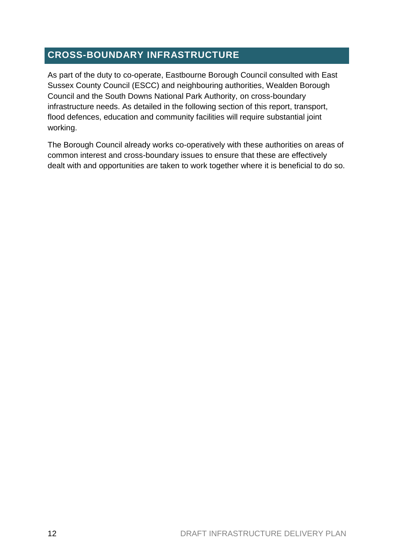# <span id="page-11-0"></span>**CROSS-BOUNDARY INFRASTRUCTURE**

As part of the duty to co-operate, Eastbourne Borough Council consulted with East Sussex County Council (ESCC) and neighbouring authorities, Wealden Borough Council and the South Downs National Park Authority, on cross-boundary infrastructure needs. As detailed in the following section of this report, transport, flood defences, education and community facilities will require substantial joint working.

The Borough Council already works co-operatively with these authorities on areas of common interest and cross-boundary issues to ensure that these are effectively dealt with and opportunities are taken to work together where it is beneficial to do so.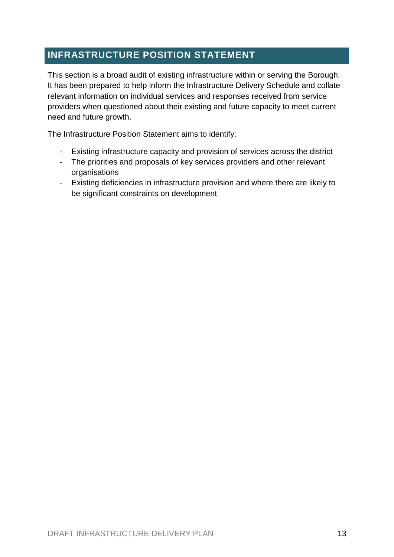# <span id="page-12-0"></span>**INFRASTRUCTURE POSITION STATEMENT**

This section is a broad audit of existing infrastructure within or serving the Borough. It has been prepared to help inform the Infrastructure Delivery Schedule and collate relevant information on individual services and responses received from service providers when questioned about their existing and future capacity to meet current need and future growth.

The Infrastructure Position Statement aims to identify:

- Existing infrastructure capacity and provision of services across the district
- The priorities and proposals of key services providers and other relevant organisations
- Existing deficiencies in infrastructure provision and where there are likely to be significant constraints on development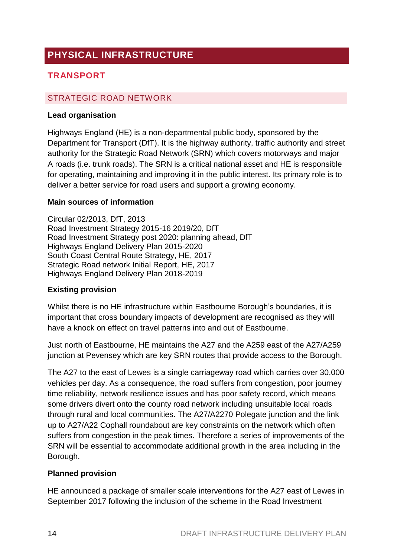# <span id="page-13-0"></span>**PHYSICAL INFRASTRUCTURE**

## <span id="page-13-2"></span><span id="page-13-1"></span>**TRANSPORT**

## STRATEGIC ROAD NETWORK

## **Lead organisation**

Highways England (HE) is a non-departmental public body, sponsored by the Department for Transport (DfT). It is the highway authority, traffic authority and street authority for the Strategic Road Network (SRN) which covers motorways and major A roads (i.e. trunk roads). The SRN is a critical national asset and HE is responsible for operating, maintaining and improving it in the public interest. Its primary role is to deliver a better service for road users and support a growing economy.

#### **Main sources of information**

Circular 02/2013, DfT, 2013 Road Investment Strategy 2015-16 2019/20, DfT Road Investment Strategy post 2020: planning ahead, DfT Highways England Delivery Plan 2015-2020 South Coast Central Route Strategy, HE, 2017 Strategic Road network Initial Report, HE, 2017 Highways England Delivery Plan 2018-2019

#### **Existing provision**

Whilst there is no HE infrastructure within Eastbourne Borough's boundaries, it is important that cross boundary impacts of development are recognised as they will have a knock on effect on travel patterns into and out of Eastbourne.

Just north of Eastbourne, HE maintains the A27 and the A259 east of the A27/A259 junction at Pevensey which are key SRN routes that provide access to the Borough.

The A27 to the east of Lewes is a single carriageway road which carries over 30,000 vehicles per day. As a consequence, the road suffers from congestion, poor journey time reliability, network resilience issues and has poor safety record, which means some drivers divert onto the county road network including unsuitable local roads through rural and local communities. The A27/A2270 Polegate junction and the link up to A27/A22 Cophall roundabout are key constraints on the network which often suffers from congestion in the peak times. Therefore a series of improvements of the SRN will be essential to accommodate additional growth in the area including in the Borough.

#### **Planned provision**

HE announced a package of smaller scale interventions for the A27 east of Lewes in September 2017 following the inclusion of the scheme in the Road Investment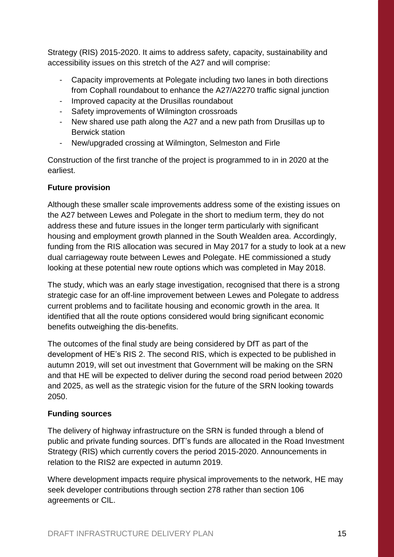Strategy (RIS) 2015-2020. It aims to address safety, capacity, sustainability and accessibility issues on this stretch of the A27 and will comprise:

- Capacity improvements at Polegate including two lanes in both directions from Cophall roundabout to enhance the A27/A2270 traffic signal junction
- Improved capacity at the Drusillas roundabout
- Safety improvements of Wilmington crossroads
- New shared use path along the A27 and a new path from Drusillas up to Berwick station
- New/upgraded crossing at Wilmington, Selmeston and Firle

Construction of the first tranche of the project is programmed to in in 2020 at the earliest.

## **Future provision**

Although these smaller scale improvements address some of the existing issues on the A27 between Lewes and Polegate in the short to medium term, they do not address these and future issues in the longer term particularly with significant housing and employment growth planned in the South Wealden area. Accordingly, funding from the RIS allocation was secured in May 2017 for a study to look at a new dual carriageway route between Lewes and Polegate. HE commissioned a study looking at these potential new route options which was completed in May 2018.

The study, which was an early stage investigation, recognised that there is a strong strategic case for an off-line improvement between Lewes and Polegate to address current problems and to facilitate housing and economic growth in the area. It identified that all the route options considered would bring significant economic benefits outweighing the dis-benefits.

The outcomes of the final study are being considered by DfT as part of the development of HE's RIS 2. The second RIS, which is expected to be published in autumn 2019, will set out investment that Government will be making on the SRN and that HE will be expected to deliver during the second road period between 2020 and 2025, as well as the strategic vision for the future of the SRN looking towards 2050.

## **Funding sources**

The delivery of highway infrastructure on the SRN is funded through a blend of public and private funding sources. DfT's funds are allocated in the Road Investment Strategy (RIS) which currently covers the period 2015-2020. Announcements in relation to the RIS2 are expected in autumn 2019.

Where development impacts require physical improvements to the network, HE may seek developer contributions through section 278 rather than section 106 agreements or CIL.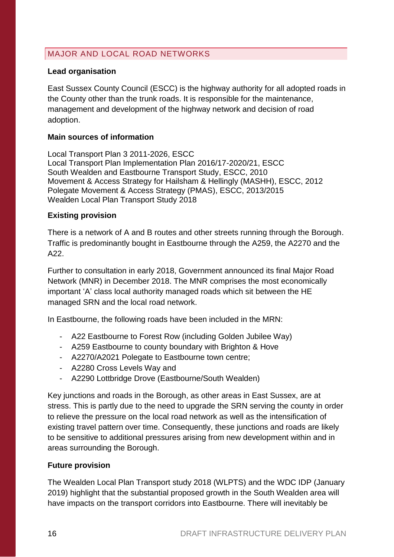## <span id="page-15-0"></span>MAJOR AND LOCAL ROAD NETWORKS

#### **Lead organisation**

East Sussex County Council (ESCC) is the highway authority for all adopted roads in the County other than the trunk roads. It is responsible for the maintenance, management and development of the highway network and decision of road adoption.

#### **Main sources of information**

Local Transport Plan 3 2011-2026, ESCC Local Transport Plan Implementation Plan 2016/17-2020/21, ESCC South Wealden and Eastbourne Transport Study, ESCC, 2010 Movement & Access Strategy for Hailsham & Hellingly (MASHH), ESCC, 2012 Polegate Movement & Access Strategy (PMAS), ESCC, 2013/2015 Wealden Local Plan Transport Study 2018

#### **Existing provision**

There is a network of A and B routes and other streets running through the Borough. Traffic is predominantly bought in Eastbourne through the A259, the A2270 and the A22.

Further to consultation in early 2018, Government announced its final Major Road Network (MNR) in December 2018. The MNR comprises the most economically important 'A' class local authority managed roads which sit between the HE managed SRN and the local road network.

In Eastbourne, the following roads have been included in the MRN:

- A22 Eastbourne to Forest Row (including Golden Jubilee Way)
- A259 Eastbourne to county boundary with Brighton & Hove
- A2270/A2021 Polegate to Eastbourne town centre;
- A2280 Cross Levels Way and
- A2290 Lottbridge Drove (Eastbourne/South Wealden)

Key junctions and roads in the Borough, as other areas in East Sussex, are at stress. This is partly due to the need to upgrade the SRN serving the county in order to relieve the pressure on the local road network as well as the intensification of existing travel pattern over time. Consequently, these junctions and roads are likely to be sensitive to additional pressures arising from new development within and in areas surrounding the Borough.

#### **Future provision**

The Wealden Local Plan Transport study 2018 (WLPTS) and the WDC IDP (January 2019) highlight that the substantial proposed growth in the South Wealden area will have impacts on the transport corridors into Eastbourne. There will inevitably be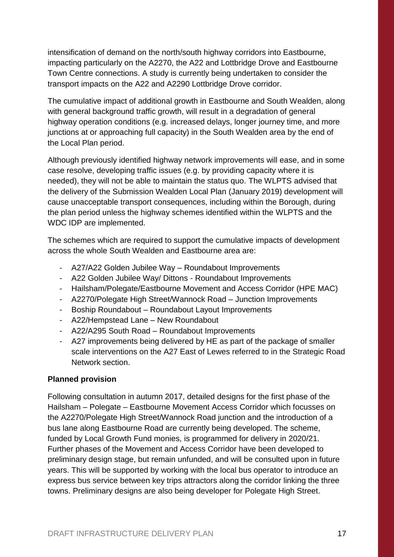intensification of demand on the north/south highway corridors into Eastbourne, impacting particularly on the A2270, the A22 and Lottbridge Drove and Eastbourne Town Centre connections. A study is currently being undertaken to consider the transport impacts on the A22 and A2290 Lottbridge Drove corridor.

The cumulative impact of additional growth in Eastbourne and South Wealden, along with general background traffic growth, will result in a degradation of general highway operation conditions (e.g. increased delays, longer journey time, and more junctions at or approaching full capacity) in the South Wealden area by the end of the Local Plan period.

Although previously identified highway network improvements will ease, and in some case resolve, developing traffic issues (e.g. by providing capacity where it is needed), they will not be able to maintain the status quo. The WLPTS advised that the delivery of the Submission Wealden Local Plan (January 2019) development will cause unacceptable transport consequences, including within the Borough, during the plan period unless the highway schemes identified within the WLPTS and the WDC IDP are implemented.

The schemes which are required to support the cumulative impacts of development across the whole South Wealden and Eastbourne area are:

- A27/A22 Golden Jubilee Way Roundabout Improvements
- A22 Golden Jubilee Way/ Dittons Roundabout Improvements
- Hailsham/Polegate/Eastbourne Movement and Access Corridor (HPE MAC)
- A2270/Polegate High Street/Wannock Road Junction Improvements
- Boship Roundabout Roundabout Layout Improvements
- A22/Hempstead Lane New Roundabout
- A22/A295 South Road Roundabout Improvements
- A27 improvements being delivered by HE as part of the package of smaller scale interventions on the A27 East of Lewes referred to in the Strategic Road Network section.

## **Planned provision**

Following consultation in autumn 2017, detailed designs for the first phase of the Hailsham – Polegate – Eastbourne Movement Access Corridor which focusses on the A2270/Polegate High Street/Wannock Road junction and the introduction of a bus lane along Eastbourne Road are currently being developed. The scheme, funded by Local Growth Fund monies, is programmed for delivery in 2020/21. Further phases of the Movement and Access Corridor have been developed to preliminary design stage, but remain unfunded, and will be consulted upon in future years. This will be supported by working with the local bus operator to introduce an express bus service between key trips attractors along the corridor linking the three towns. Preliminary designs are also being developer for Polegate High Street.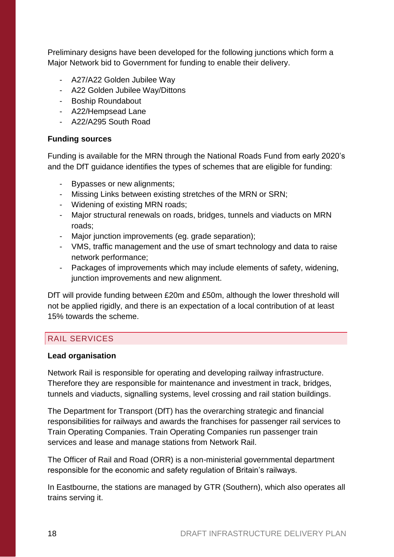Preliminary designs have been developed for the following junctions which form a Major Network bid to Government for funding to enable their delivery.

- A27/A22 Golden Jubilee Way
- A22 Golden Jubilee Way/Dittons
- Boship Roundabout
- A22/Hempsead Lane
- A22/A295 South Road

## **Funding sources**

Funding is available for the MRN through the National Roads Fund from early 2020's and the DfT guidance identifies the types of schemes that are eligible for funding:

- Bypasses or new alignments;
- Missing Links between existing stretches of the MRN or SRN;
- Widening of existing MRN roads;
- Major structural renewals on roads, bridges, tunnels and viaducts on MRN roads;
- Major junction improvements (eg. grade separation);
- VMS, traffic management and the use of smart technology and data to raise network performance;
- Packages of improvements which may include elements of safety, widening, junction improvements and new alignment.

DfT will provide funding between £20m and £50m, although the lower threshold will not be applied rigidly, and there is an expectation of a local contribution of at least 15% towards the scheme.

## <span id="page-17-0"></span>RAIL SERVICES

## **Lead organisation**

Network Rail is responsible for operating and developing railway infrastructure. Therefore they are responsible for maintenance and investment in track, bridges, tunnels and viaducts, signalling systems, level crossing and rail station buildings.

The Department for Transport (DfT) has the overarching strategic and financial responsibilities for railways and awards the franchises for passenger rail services to Train Operating Companies. Train Operating Companies run passenger train services and lease and manage stations from Network Rail.

The Officer of Rail and Road (ORR) is a non-ministerial governmental department responsible for the economic and safety regulation of Britain's railways.

In Eastbourne, the stations are managed by GTR (Southern), which also operates all trains serving it.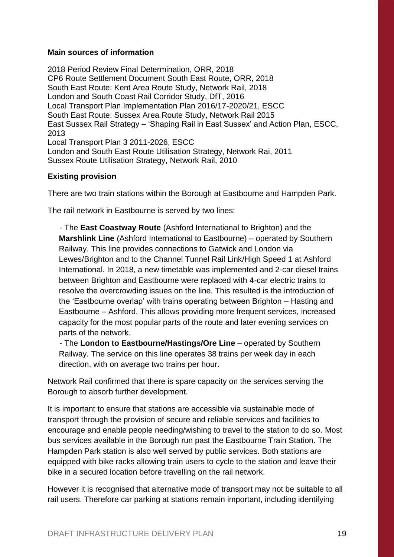## **Main sources of information**

2018 Period Review Final Determination, ORR, 2018 CP6 Route Settlement Document South East Route, ORR, 2018 South East Route: Kent Area Route Study, Network Rail, 2018 London and South Coast Rail Corridor Study, DfT, 2016 Local Transport Plan Implementation Plan 2016/17-2020/21, ESCC South East Route: Sussex Area Route Study, Network Rail 2015 East Sussex Rail Strategy – 'Shaping Rail in East Sussex' and Action Plan, ESCC, 2013 Local Transport Plan 3 2011-2026, ESCC London and South East Route Utilisation Strategy, Network Rai, 2011 Sussex Route Utilisation Strategy, Network Rail, 2010

## **Existing provision**

There are two train stations within the Borough at Eastbourne and Hampden Park.

The rail network in Eastbourne is served by two lines:

- The **East Coastway Route** (Ashford International to Brighton) and the **Marshlink Line** (Ashford International to Eastbourne) – operated by Southern Railway. This line provides connections to Gatwick and London via Lewes/Brighton and to the Channel Tunnel Rail Link/High Speed 1 at Ashford International. In 2018, a new timetable was implemented and 2-car diesel trains between Brighton and Eastbourne were replaced with 4-car electric trains to resolve the overcrowding issues on the line. This resulted is the introduction of the 'Eastbourne overlap' with trains operating between Brighton – Hasting and Eastbourne – Ashford. This allows providing more frequent services, increased capacity for the most popular parts of the route and later evening services on parts of the network.

- The **London to Eastbourne/Hastings/Ore Line** – operated by Southern Railway. The service on this line operates 38 trains per week day in each direction, with on average two trains per hour.

Network Rail confirmed that there is spare capacity on the services serving the Borough to absorb further development.

It is important to ensure that stations are accessible via sustainable mode of transport through the provision of secure and reliable services and facilities to encourage and enable people needing/wishing to travel to the station to do so. Most bus services available in the Borough run past the Eastbourne Train Station. The Hampden Park station is also well served by public services. Both stations are equipped with bike racks allowing train users to cycle to the station and leave their bike in a secured location before travelling on the rail network.

However it is recognised that alternative mode of transport may not be suitable to all rail users. Therefore car parking at stations remain important, including identifying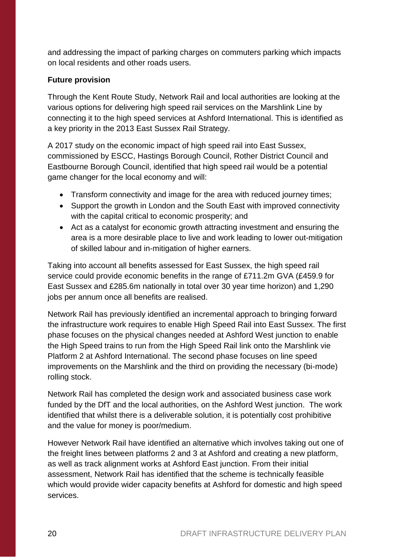and addressing the impact of parking charges on commuters parking which impacts on local residents and other roads users.

## **Future provision**

Through the Kent Route Study, Network Rail and local authorities are looking at the various options for delivering high speed rail services on the Marshlink Line by connecting it to the high speed services at Ashford International. This is identified as a key priority in the 2013 East Sussex Rail Strategy.

A 2017 study on the economic impact of high speed rail into East Sussex, commissioned by ESCC, Hastings Borough Council, Rother District Council and Eastbourne Borough Council, identified that high speed rail would be a potential game changer for the local economy and will:

- Transform connectivity and image for the area with reduced journey times;
- Support the growth in London and the South East with improved connectivity with the capital critical to economic prosperity; and
- Act as a catalyst for economic growth attracting investment and ensuring the area is a more desirable place to live and work leading to lower out-mitigation of skilled labour and in-mitigation of higher earners.

Taking into account all benefits assessed for East Sussex, the high speed rail service could provide economic benefits in the range of £711.2m GVA (£459.9 for East Sussex and £285.6m nationally in total over 30 year time horizon) and 1,290 jobs per annum once all benefits are realised.

Network Rail has previously identified an incremental approach to bringing forward the infrastructure work requires to enable High Speed Rail into East Sussex. The first phase focuses on the physical changes needed at Ashford West junction to enable the High Speed trains to run from the High Speed Rail link onto the Marshlink vie Platform 2 at Ashford International. The second phase focuses on line speed improvements on the Marshlink and the third on providing the necessary (bi-mode) rolling stock.

Network Rail has completed the design work and associated business case work funded by the DfT and the local authorities, on the Ashford West junction. The work identified that whilst there is a deliverable solution, it is potentially cost prohibitive and the value for money is poor/medium.

However Network Rail have identified an alternative which involves taking out one of the freight lines between platforms 2 and 3 at Ashford and creating a new platform, as well as track alignment works at Ashford East junction. From their initial assessment, Network Rail has identified that the scheme is technically feasible which would provide wider capacity benefits at Ashford for domestic and high speed services.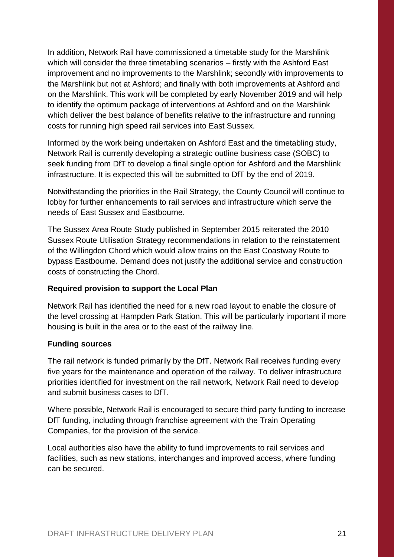In addition, Network Rail have commissioned a timetable study for the Marshlink which will consider the three timetabling scenarios – firstly with the Ashford East improvement and no improvements to the Marshlink; secondly with improvements to the Marshlink but not at Ashford; and finally with both improvements at Ashford and on the Marshlink. This work will be completed by early November 2019 and will help to identify the optimum package of interventions at Ashford and on the Marshlink which deliver the best balance of benefits relative to the infrastructure and running costs for running high speed rail services into East Sussex.

Informed by the work being undertaken on Ashford East and the timetabling study, Network Rail is currently developing a strategic outline business case (SOBC) to seek funding from DfT to develop a final single option for Ashford and the Marshlink infrastructure. It is expected this will be submitted to DfT by the end of 2019.

Notwithstanding the priorities in the Rail Strategy, the County Council will continue to lobby for further enhancements to rail services and infrastructure which serve the needs of East Sussex and Eastbourne.

The Sussex Area Route Study published in September 2015 reiterated the 2010 Sussex Route Utilisation Strategy recommendations in relation to the reinstatement of the Willingdon Chord which would allow trains on the East Coastway Route to bypass Eastbourne. Demand does not justify the additional service and construction costs of constructing the Chord.

## **Required provision to support the Local Plan**

Network Rail has identified the need for a new road layout to enable the closure of the level crossing at Hampden Park Station. This will be particularly important if more housing is built in the area or to the east of the railway line.

## **Funding sources**

The rail network is funded primarily by the DfT. Network Rail receives funding every five years for the maintenance and operation of the railway. To deliver infrastructure priorities identified for investment on the rail network, Network Rail need to develop and submit business cases to DfT.

Where possible, Network Rail is encouraged to secure third party funding to increase DfT funding, including through franchise agreement with the Train Operating Companies, for the provision of the service.

Local authorities also have the ability to fund improvements to rail services and facilities, such as new stations, interchanges and improved access, where funding can be secured.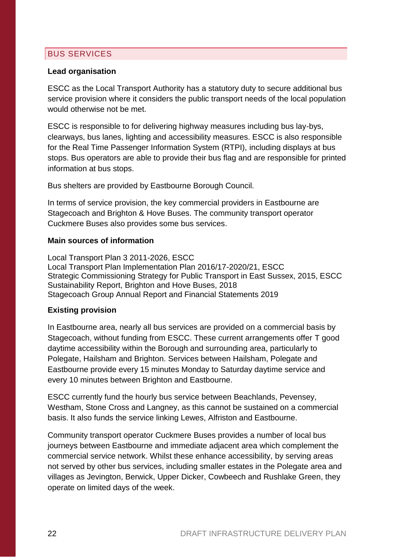## <span id="page-21-0"></span>BUS SERVICES

#### **Lead organisation**

ESCC as the Local Transport Authority has a statutory duty to secure additional bus service provision where it considers the public transport needs of the local population would otherwise not be met.

ESCC is responsible to for delivering highway measures including bus lay-bys, clearways, bus lanes, lighting and accessibility measures. ESCC is also responsible for the Real Time Passenger Information System (RTPI), including displays at bus stops. Bus operators are able to provide their bus flag and are responsible for printed information at bus stops.

Bus shelters are provided by Eastbourne Borough Council.

In terms of service provision, the key commercial providers in Eastbourne are Stagecoach and Brighton & Hove Buses. The community transport operator Cuckmere Buses also provides some bus services.

#### **Main sources of information**

Local Transport Plan 3 2011-2026, ESCC Local Transport Plan Implementation Plan 2016/17-2020/21, ESCC Strategic Commissioning Strategy for Public Transport in East Sussex, 2015, ESCC Sustainability Report, Brighton and Hove Buses, 2018 Stagecoach Group Annual Report and Financial Statements 2019

#### **Existing provision**

In Eastbourne area, nearly all bus services are provided on a commercial basis by Stagecoach, without funding from ESCC. These current arrangements offer T good daytime accessibility within the Borough and surrounding area, particularly to Polegate, Hailsham and Brighton. Services between Hailsham, Polegate and Eastbourne provide every 15 minutes Monday to Saturday daytime service and every 10 minutes between Brighton and Eastbourne.

ESCC currently fund the hourly bus service between Beachlands, Pevensey, Westham, Stone Cross and Langney, as this cannot be sustained on a commercial basis. It also funds the service linking Lewes, Alfriston and Eastbourne.

Community transport operator Cuckmere Buses provides a number of local bus journeys between Eastbourne and immediate adjacent area which complement the commercial service network. Whilst these enhance accessibility, by serving areas not served by other bus services, including smaller estates in the Polegate area and villages as Jevington, Berwick, Upper Dicker, Cowbeech and Rushlake Green, they operate on limited days of the week.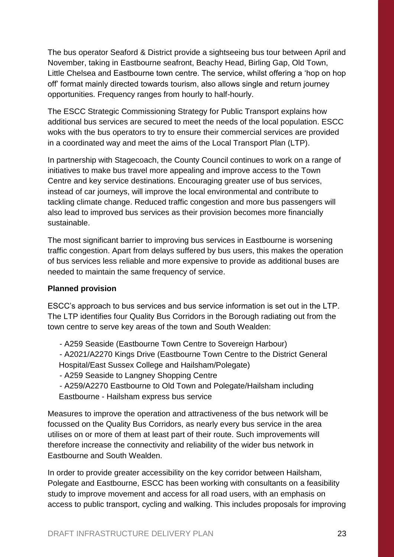The bus operator Seaford & District provide a sightseeing bus tour between April and November, taking in Eastbourne seafront, Beachy Head, Birling Gap, Old Town, Little Chelsea and Eastbourne town centre. The service, whilst offering a 'hop on hop off' format mainly directed towards tourism, also allows single and return journey opportunities. Frequency ranges from hourly to half-hourly.

The ESCC Strategic Commissioning Strategy for Public Transport explains how additional bus services are secured to meet the needs of the local population. ESCC woks with the bus operators to try to ensure their commercial services are provided in a coordinated way and meet the aims of the Local Transport Plan (LTP).

In partnership with Stagecoach, the County Council continues to work on a range of initiatives to make bus travel more appealing and improve access to the Town Centre and key service destinations. Encouraging greater use of bus services, instead of car journeys, will improve the local environmental and contribute to tackling climate change. Reduced traffic congestion and more bus passengers will also lead to improved bus services as their provision becomes more financially sustainable.

The most significant barrier to improving bus services in Eastbourne is worsening traffic congestion. Apart from delays suffered by bus users, this makes the operation of bus services less reliable and more expensive to provide as additional buses are needed to maintain the same frequency of service.

## **Planned provision**

ESCC's approach to bus services and bus service information is set out in the LTP. The LTP identifies four Quality Bus Corridors in the Borough radiating out from the town centre to serve key areas of the town and South Wealden:

- A259 Seaside (Eastbourne Town Centre to Sovereign Harbour)

- A2021/A2270 Kings Drive (Eastbourne Town Centre to the District General Hospital/East Sussex College and Hailsham/Polegate)

- A259 Seaside to Langney Shopping Centre
- A259/A2270 Eastbourne to Old Town and Polegate/Hailsham including Eastbourne - Hailsham express bus service

Measures to improve the operation and attractiveness of the bus network will be focussed on the Quality Bus Corridors, as nearly every bus service in the area utilises on or more of them at least part of their route. Such improvements will therefore increase the connectivity and reliability of the wider bus network in Eastbourne and South Wealden.

In order to provide greater accessibility on the key corridor between Hailsham, Polegate and Eastbourne, ESCC has been working with consultants on a feasibility study to improve movement and access for all road users, with an emphasis on access to public transport, cycling and walking. This includes proposals for improving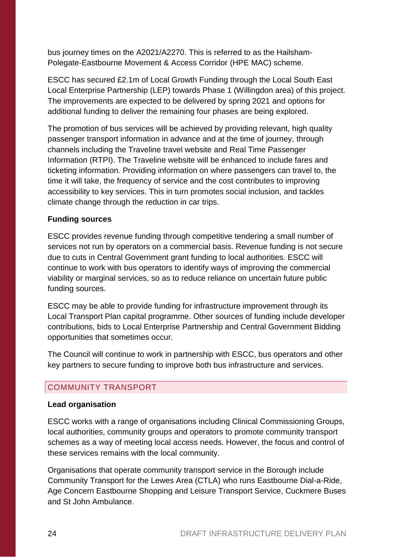bus journey times on the A2021/A2270. This is referred to as the Hailsham-Polegate-Eastbourne Movement & Access Corridor (HPE MAC) scheme.

ESCC has secured £2.1m of Local Growth Funding through the Local South East Local Enterprise Partnership (LEP) towards Phase 1 (Willingdon area) of this project. The improvements are expected to be delivered by spring 2021 and options for additional funding to deliver the remaining four phases are being explored.

The promotion of bus services will be achieved by providing relevant, high quality passenger transport information in advance and at the time of journey, through channels including the Traveline travel website and Real Time Passenger Information (RTPI). The Traveline website will be enhanced to include fares and ticketing information. Providing information on where passengers can travel to, the time it will take, the frequency of service and the cost contributes to improving accessibility to key services. This in turn promotes social inclusion, and tackles climate change through the reduction in car trips.

## **Funding sources**

ESCC provides revenue funding through competitive tendering a small number of services not run by operators on a commercial basis. Revenue funding is not secure due to cuts in Central Government grant funding to local authorities. ESCC will continue to work with bus operators to identify ways of improving the commercial viability or marginal services, so as to reduce reliance on uncertain future public funding sources.

ESCC may be able to provide funding for infrastructure improvement through its Local Transport Plan capital programme. Other sources of funding include developer contributions, bids to Local Enterprise Partnership and Central Government Bidding opportunities that sometimes occur.

The Council will continue to work in partnership with ESCC, bus operators and other key partners to secure funding to improve both bus infrastructure and services.

## <span id="page-23-0"></span>COMMUNITY TRANSPORT

## **Lead organisation**

ESCC works with a range of organisations including Clinical Commissioning Groups, local authorities, community groups and operators to promote community transport schemes as a way of meeting local access needs. However, the focus and control of these services remains with the local community.

Organisations that operate community transport service in the Borough include Community Transport for the Lewes Area (CTLA) who runs Eastbourne Dial-a-Ride, Age Concern Eastbourne Shopping and Leisure Transport Service, Cuckmere Buses and St John Ambulance.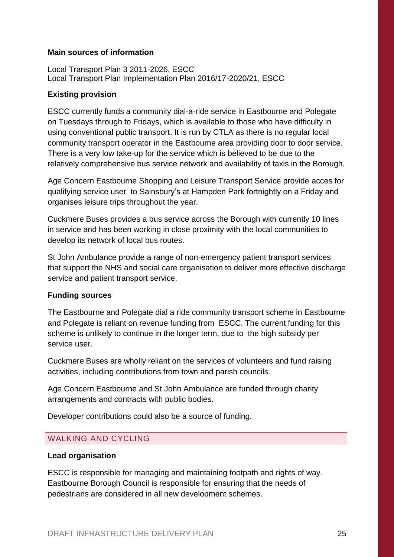## **Main sources of information**

Local Transport Plan 3 2011-2026, ESCC Local Transport Plan Implementation Plan 2016/17-2020/21, ESCC

## **Existing provision**

ESCC currently funds a community dial-a-ride service in Eastbourne and Polegate on Tuesdays through to Fridays, which is available to those who have difficulty in using conventional public transport. It is run by CTLA as there is no regular local community transport operator in the Eastbourne area providing door to door service. There is a very low take-up for the service which is believed to be due to the relatively comprehensive bus service network and availability of taxis in the Borough.

Age Concern Eastbourne Shopping and Leisure Transport Service provide acces for qualifying service user to Sainsbury's at Hampden Park fortnightly on a Friday and organises leisure trips throughout the year.

Cuckmere Buses provides a bus service across the Borough with currently 10 lines in service and has been working in close proximity with the local communities to develop its network of local bus routes.

St John Ambulance provide a range of non-emergency patient transport services that support the NHS and social care organisation to deliver more effective discharge service and patient transport service.

#### **Funding sources**

The Eastbourne and Polegate dial a ride community transport scheme in Eastbourne and Polegate is reliant on revenue funding from ESCC. The current funding for this scheme is unlikely to continue in the longer term, due to the high subsidy per service user.

Cuckmere Buses are wholly reliant on the services of volunteers and fund raising activities, including contributions from town and parish councils.

Age Concern Eastbourne and St John Ambulance are funded through charity arrangements and contracts with public bodies.

Developer contributions could also be a source of funding.

## <span id="page-24-0"></span>WALKING AND CYCLING

#### **Lead organisation**

ESCC is responsible for managing and maintaining footpath and rights of way. Eastbourne Borough Council is responsible for ensuring that the needs of pedestrians are considered in all new development schemes.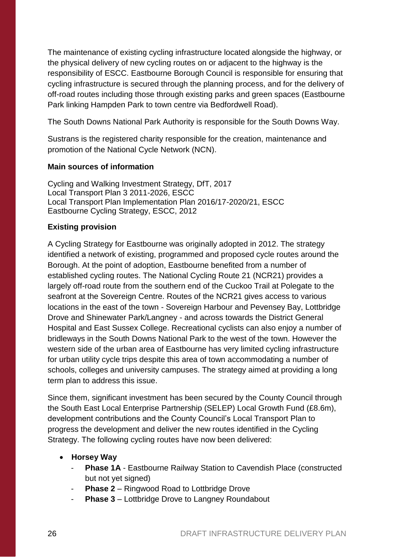The maintenance of existing cycling infrastructure located alongside the highway, or the physical delivery of new cycling routes on or adjacent to the highway is the responsibility of ESCC. Eastbourne Borough Council is responsible for ensuring that cycling infrastructure is secured through the planning process, and for the delivery of off-road routes including those through existing parks and green spaces (Eastbourne Park linking Hampden Park to town centre via Bedfordwell Road).

The South Downs National Park Authority is responsible for the South Downs Way.

Sustrans is the registered charity responsible for the creation, maintenance and promotion of the National Cycle Network (NCN).

## **Main sources of information**

Cycling and Walking Investment Strategy, DfT, 2017 Local Transport Plan 3 2011-2026, ESCC Local Transport Plan Implementation Plan 2016/17-2020/21, ESCC Eastbourne Cycling Strategy, ESCC, 2012

## **Existing provision**

A Cycling Strategy for Eastbourne was originally adopted in 2012. The strategy identified a network of existing, programmed and proposed cycle routes around the Borough. At the point of adoption, Eastbourne benefited from a number of established cycling routes. The National Cycling Route 21 (NCR21) provides a largely off-road route from the southern end of the Cuckoo Trail at Polegate to the seafront at the Sovereign Centre. Routes of the NCR21 gives access to various locations in the east of the town - Sovereign Harbour and Pevensey Bay, Lottbridge Drove and Shinewater Park/Langney - and across towards the District General Hospital and East Sussex College. Recreational cyclists can also enjoy a number of bridleways in the South Downs National Park to the west of the town. However the western side of the urban area of Eastbourne has very limited cycling infrastructure for urban utility cycle trips despite this area of town accommodating a number of schools, colleges and university campuses. The strategy aimed at providing a long term plan to address this issue.

Since them, significant investment has been secured by the County Council through the South East Local Enterprise Partnership (SELEP) Local Growth Fund (£8.6m), development contributions and the County Council's Local Transport Plan to progress the development and deliver the new routes identified in the Cycling Strategy. The following cycling routes have now been delivered:

## **Horsey Way**

- **Phase 1A** Eastbourne Railway Station to Cavendish Place (constructed but not yet signed)
- **Phase 2** Ringwood Road to Lottbridge Drove
- **Phase 3** Lottbridge Drove to Langney Roundabout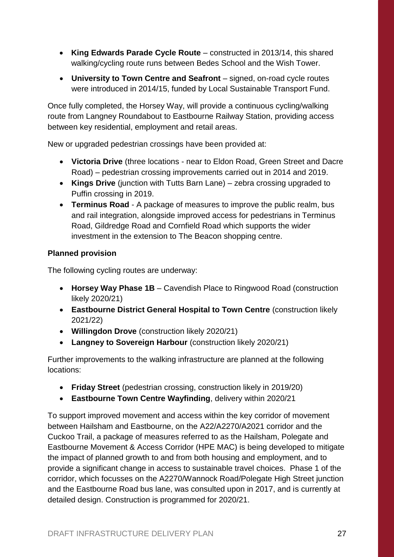- **King Edwards Parade Cycle Route** constructed in 2013/14, this shared walking/cycling route runs between Bedes School and the Wish Tower.
- **University to Town Centre and Seafront** signed, on-road cycle routes were introduced in 2014/15, funded by Local Sustainable Transport Fund.

Once fully completed, the Horsey Way, will provide a continuous cycling/walking route from Langney Roundabout to Eastbourne Railway Station, providing access between key residential, employment and retail areas.

New or upgraded pedestrian crossings have been provided at:

- **Victoria Drive** (three locations near to Eldon Road, Green Street and Dacre Road) – pedestrian crossing improvements carried out in 2014 and 2019.
- **Kings Drive** (junction with Tutts Barn Lane) zebra crossing upgraded to Puffin crossing in 2019.
- **Terminus Road** A package of measures to improve the public realm, bus and rail integration, alongside improved access for pedestrians in Terminus Road, Gildredge Road and Cornfield Road which supports the wider investment in the extension to The Beacon shopping centre.

## **Planned provision**

The following cycling routes are underway:

- **Horsey Way Phase 1B** Cavendish Place to Ringwood Road (construction likely 2020/21)
- **Eastbourne District General Hospital to Town Centre** (construction likely 2021/22)
- **Willingdon Drove** (construction likely 2020/21)
- **Langney to Sovereign Harbour** (construction likely 2020/21)

Further improvements to the walking infrastructure are planned at the following locations:

- **Friday Street** (pedestrian crossing, construction likely in 2019/20)
- **Eastbourne Town Centre Wayfinding**, delivery within 2020/21

To support improved movement and access within the key corridor of movement between Hailsham and Eastbourne, on the A22/A2270/A2021 corridor and the Cuckoo Trail, a package of measures referred to as the Hailsham, Polegate and Eastbourne Movement & Access Corridor (HPE MAC) is being developed to mitigate the impact of planned growth to and from both housing and employment, and to provide a significant change in access to sustainable travel choices. Phase 1 of the corridor, which focusses on the A2270/Wannock Road/Polegate High Street junction and the Eastbourne Road bus lane, was consulted upon in 2017, and is currently at detailed design. Construction is programmed for 2020/21.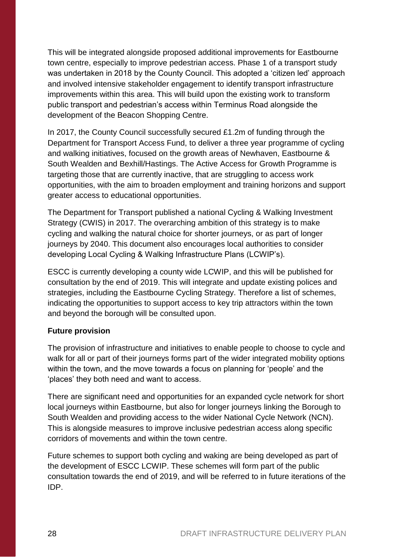This will be integrated alongside proposed additional improvements for Eastbourne town centre, especially to improve pedestrian access. Phase 1 of a transport study was undertaken in 2018 by the County Council. This adopted a 'citizen led' approach and involved intensive stakeholder engagement to identify transport infrastructure improvements within this area. This will build upon the existing work to transform public transport and pedestrian's access within Terminus Road alongside the development of the Beacon Shopping Centre.

In 2017, the County Council successfully secured £1.2m of funding through the Department for Transport Access Fund, to deliver a three year programme of cycling and walking initiatives, focused on the growth areas of Newhaven, Eastbourne & South Wealden and Bexhill/Hastings. The Active Access for Growth Programme is targeting those that are currently inactive, that are struggling to access work opportunities, with the aim to broaden employment and training horizons and support greater access to educational opportunities.

The Department for Transport published a national Cycling & Walking Investment Strategy (CWIS) in 2017. The overarching ambition of this strategy is to make cycling and walking the natural choice for shorter journeys, or as part of longer journeys by 2040. This document also encourages local authorities to consider developing Local Cycling & Walking Infrastructure Plans (LCWIP's).

ESCC is currently developing a county wide LCWIP, and this will be published for consultation by the end of 2019. This will integrate and update existing polices and strategies, including the Eastbourne Cycling Strategy. Therefore a list of schemes, indicating the opportunities to support access to key trip attractors within the town and beyond the borough will be consulted upon.

## **Future provision**

The provision of infrastructure and initiatives to enable people to choose to cycle and walk for all or part of their journeys forms part of the wider integrated mobility options within the town, and the move towards a focus on planning for 'people' and the 'places' they both need and want to access.

There are significant need and opportunities for an expanded cycle network for short local journeys within Eastbourne, but also for longer journeys linking the Borough to South Wealden and providing access to the wider National Cycle Network (NCN). This is alongside measures to improve inclusive pedestrian access along specific corridors of movements and within the town centre.

Future schemes to support both cycling and waking are being developed as part of the development of ESCC LCWIP. These schemes will form part of the public consultation towards the end of 2019, and will be referred to in future iterations of the IDP.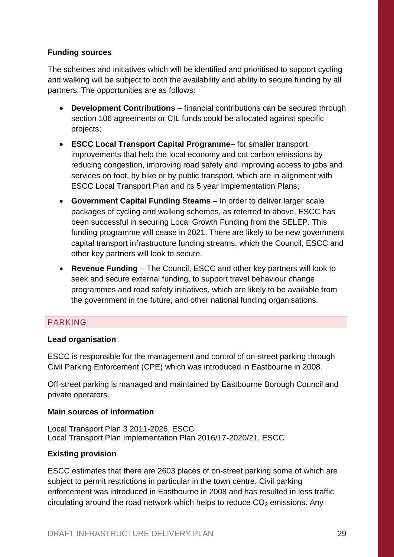## **Funding sources**

The schemes and initiatives which will be identified and prioritised to support cycling and walking will be subject to both the availability and ability to secure funding by all partners. The opportunities are as follows:

- **Development Contributions** financial contributions can be secured through section 106 agreements or CIL funds could be allocated against specific projects;
- **ESCC Local Transport Capital Programme** for smaller transport improvements that help the local economy and cut carbon emissions by reducing congestion, improving road safety and improving access to jobs and services on foot, by bike or by public transport, which are in alignment with ESCC Local Transport Plan and its 5 year Implementation Plans;
- **Government Capital Funding Steams –** In order to deliver larger scale packages of cycling and walking schemes, as referred to above, ESCC has been successful in securing Local Growth Funding from the SELEP. This funding programme will cease in 2021. There are likely to be new government capital transport infrastructure funding streams, which the Council, ESCC and other key partners will look to secure.
- **Revenue Funding** The Council, ESCC and other key partners will look to seek and secure external funding, to support travel behaviour change programmes and road safety initiatives, which are likely to be available from the government in the future, and other national funding organisations.

## <span id="page-28-0"></span>PARKING

## **Lead organisation**

ESCC is responsible for the management and control of on-street parking through Civil Parking Enforcement (CPE) which was introduced in Eastbourne in 2008.

Off-street parking is managed and maintained by Eastbourne Borough Council and private operators.

## **Main sources of information**

Local Transport Plan 3 2011-2026, ESCC Local Transport Plan Implementation Plan 2016/17-2020/21, ESCC

## **Existing provision**

ESCC estimates that there are 2603 places of on-street parking some of which are subject to permit restrictions in particular in the town centre. Civil parking enforcement was introduced in Eastbourne in 2008 and has resulted in less traffic circulating around the road network which helps to reduce  $CO<sub>2</sub>$  emissions. Any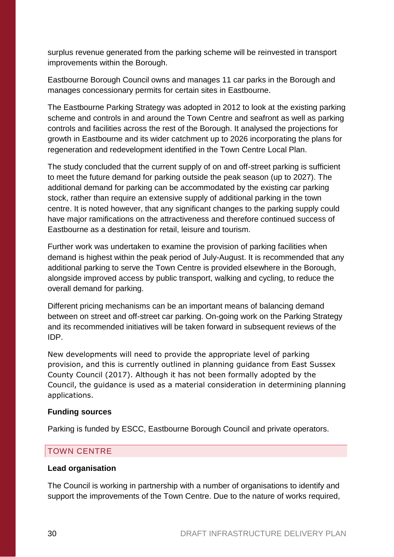surplus revenue generated from the parking scheme will be reinvested in transport improvements within the Borough.

Eastbourne Borough Council owns and manages 11 car parks in the Borough and manages concessionary permits for certain sites in Eastbourne.

The Eastbourne Parking Strategy was adopted in 2012 to look at the existing parking scheme and controls in and around the Town Centre and seafront as well as parking controls and facilities across the rest of the Borough. It analysed the projections for growth in Eastbourne and its wider catchment up to 2026 incorporating the plans for regeneration and redevelopment identified in the Town Centre Local Plan.

The study concluded that the current supply of on and off-street parking is sufficient to meet the future demand for parking outside the peak season (up to 2027). The additional demand for parking can be accommodated by the existing car parking stock, rather than require an extensive supply of additional parking in the town centre. It is noted however, that any significant changes to the parking supply could have major ramifications on the attractiveness and therefore continued success of Eastbourne as a destination for retail, leisure and tourism.

Further work was undertaken to examine the provision of parking facilities when demand is highest within the peak period of July-August. It is recommended that any additional parking to serve the Town Centre is provided elsewhere in the Borough, alongside improved access by public transport, walking and cycling, to reduce the overall demand for parking.

Different pricing mechanisms can be an important means of balancing demand between on street and off-street car parking. On-going work on the Parking Strategy and its recommended initiatives will be taken forward in subsequent reviews of the IDP.

New developments will need to provide the appropriate level of parking provision, and this is currently outlined in planning guidance from East Sussex County Council (2017). Although it has not been formally adopted by the Council, the guidance is used as a material consideration in determining planning applications.

#### **Funding sources**

Parking is funded by ESCC, Eastbourne Borough Council and private operators.

#### <span id="page-29-0"></span>TOWN CENTRE

#### **Lead organisation**

The Council is working in partnership with a number of organisations to identify and support the improvements of the Town Centre. Due to the nature of works required,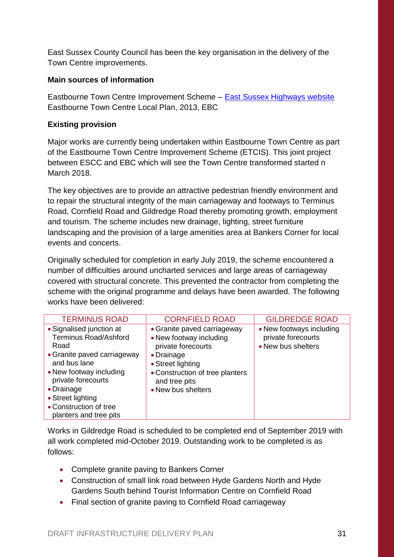East Sussex County Council has been the key organisation in the delivery of the Town Centre improvements.

## **Main sources of information**

Eastbourne Town Centre Improvement Scheme – [East Sussex Highways website](https://www.eastsussexhighways.com/works/eastbourne-town-centre-improvement-scheme-etcis) Eastbourne Town Centre Local Plan, 2013, EBC

## **Existing provision**

Major works are currently being undertaken within Eastbourne Town Centre as part of the Eastbourne Town Centre Improvement Scheme (ETCIS). This joint project between ESCC and EBC which will see the Town Centre transformed started n March 2018.

The key objectives are to provide an attractive pedestrian friendly environment and to repair the structural integrity of the main carriageway and footways to Terminus Road, Cornfield Road and Gildredge Road thereby promoting growth, employment and tourism. The scheme includes new drainage, lighting, street furniture landscaping and the provision of a large amenities area at Bankers Corner for local events and concerts.

Originally scheduled for completion in early July 2019, the scheme encountered a number of difficulties around uncharted services and large areas of carriageway covered with structural concrete. This prevented the contractor from completing the scheme with the original programme and delays have been awarded. The following works have been delivered:

| <b>TERMINUS ROAD</b>                                                                                                                                                                                                                                    | <b>CORNFIELD ROAD</b>                                                                                                                                                                     | <b>GILDREDGE ROAD</b>                                                |
|---------------------------------------------------------------------------------------------------------------------------------------------------------------------------------------------------------------------------------------------------------|-------------------------------------------------------------------------------------------------------------------------------------------------------------------------------------------|----------------------------------------------------------------------|
| • Signalised junction at<br><b>Terminus Road/Ashford</b><br>Road<br>• Granite paved carriageway<br>and bus lane<br>• New footway including<br>private forecourts<br>• Drainage<br>• Street lighting<br>• Construction of tree<br>planters and tree pits | • Granite paved carriageway<br>• New footway including<br>private forecourts<br>• Drainage<br>• Street lighting<br>• Construction of tree planters<br>and tree pits<br>• New bus shelters | • New footways including<br>private forecourts<br>• New bus shelters |

Works in Gildredge Road is scheduled to be completed end of September 2019 with all work completed mid-October 2019. Outstanding work to be completed is as follows:

- Complete granite paving to Bankers Corner
- Construction of small link road between Hyde Gardens North and Hyde Gardens South behind Tourist Information Centre on Cornfield Road
- Final section of granite paving to Cornfield Road carriageway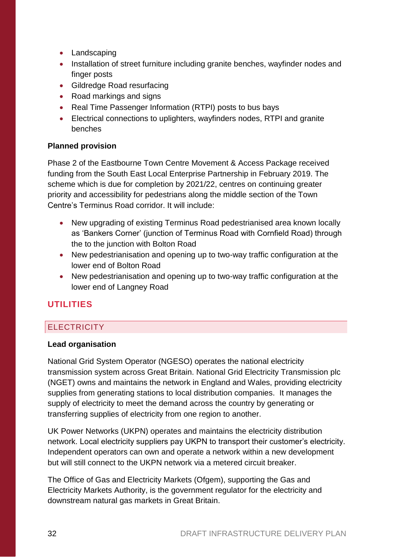- Landscaping
- Installation of street furniture including granite benches, wayfinder nodes and finger posts
- Gildredge Road resurfacing
- Road markings and signs
- Real Time Passenger Information (RTPI) posts to bus bays
- Electrical connections to uplighters, wayfinders nodes, RTPI and granite benches

## **Planned provision**

Phase 2 of the Eastbourne Town Centre Movement & Access Package received funding from the South East Local Enterprise Partnership in February 2019. The scheme which is due for completion by 2021/22, centres on continuing greater priority and accessibility for pedestrians along the middle section of the Town Centre's Terminus Road corridor. It will include:

- New upgrading of existing Terminus Road pedestrianised area known locally as 'Bankers Corner' (junction of Terminus Road with Cornfield Road) through the to the junction with Bolton Road
- New pedestrianisation and opening up to two-way traffic configuration at the lower end of Bolton Road
- New pedestrianisation and opening up to two-way traffic configuration at the lower end of Langney Road

## <span id="page-31-1"></span><span id="page-31-0"></span>**UTILITIES**

## **ELECTRICITY**

## **Lead organisation**

National Grid System Operator (NGESO) operates the national electricity transmission system across Great Britain. National Grid Electricity Transmission plc (NGET) owns and maintains the network in England and Wales, providing electricity supplies from generating stations to local distribution companies. It manages the supply of electricity to meet the demand across the country by generating or transferring supplies of electricity from one region to another.

UK Power Networks (UKPN) operates and maintains the electricity distribution network. Local electricity suppliers pay UKPN to transport their customer's electricity. Independent operators can own and operate a network within a new development but will still connect to the UKPN network via a metered circuit breaker.

The Office of Gas and Electricity Markets (Ofgem), supporting the Gas and Electricity Markets Authority, is the government regulator for the electricity and downstream natural gas markets in Great Britain.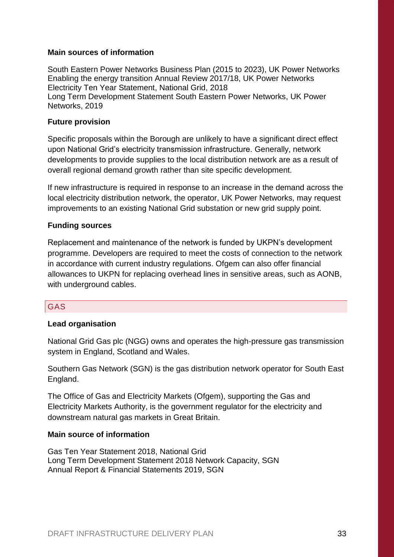## **Main sources of information**

South Eastern Power Networks Business Plan (2015 to 2023), UK Power Networks Enabling the energy transition Annual Review 2017/18, UK Power Networks Electricity Ten Year Statement, National Grid, 2018 Long Term Development Statement South Eastern Power Networks, UK Power Networks, 2019

## **Future provision**

Specific proposals within the Borough are unlikely to have a significant direct effect upon National Grid's electricity transmission infrastructure. Generally, network developments to provide supplies to the local distribution network are as a result of overall regional demand growth rather than site specific development.

If new infrastructure is required in response to an increase in the demand across the local electricity distribution network, the operator, UK Power Networks, may request improvements to an existing National Grid substation or new grid supply point.

## **Funding sources**

Replacement and maintenance of the network is funded by UKPN's development programme. Developers are required to meet the costs of connection to the network in accordance with current industry regulations. Ofgem can also offer financial allowances to UKPN for replacing overhead lines in sensitive areas, such as AONB, with underground cables.

## <span id="page-32-0"></span>GAS

## **Lead organisation**

National Grid Gas plc (NGG) owns and operates the high-pressure gas transmission system in England, Scotland and Wales.

Southern Gas Network (SGN) is the gas distribution network operator for South East England.

The Office of Gas and Electricity Markets (Ofgem), supporting the Gas and Electricity Markets Authority, is the government regulator for the electricity and downstream natural gas markets in Great Britain.

#### **Main source of information**

Gas Ten Year Statement 2018, National Grid Long Term Development Statement 2018 Network Capacity, SGN Annual Report & Financial Statements 2019, SGN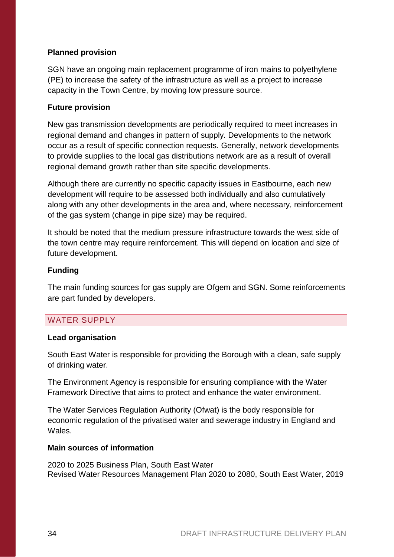## **Planned provision**

SGN have an ongoing main replacement programme of iron mains to polyethylene (PE) to increase the safety of the infrastructure as well as a project to increase capacity in the Town Centre, by moving low pressure source.

## **Future provision**

New gas transmission developments are periodically required to meet increases in regional demand and changes in pattern of supply. Developments to the network occur as a result of specific connection requests. Generally, network developments to provide supplies to the local gas distributions network are as a result of overall regional demand growth rather than site specific developments.

Although there are currently no specific capacity issues in Eastbourne, each new development will require to be assessed both individually and also cumulatively along with any other developments in the area and, where necessary, reinforcement of the gas system (change in pipe size) may be required.

It should be noted that the medium pressure infrastructure towards the west side of the town centre may require reinforcement. This will depend on location and size of future development.

## **Funding**

The main funding sources for gas supply are Ofgem and SGN. Some reinforcements are part funded by developers.

## <span id="page-33-0"></span>WATER SUPPLY

#### **Lead organisation**

South East Water is responsible for providing the Borough with a clean, safe supply of drinking water.

The Environment Agency is responsible for ensuring compliance with the Water Framework Directive that aims to protect and enhance the water environment.

The Water Services Regulation Authority (Ofwat) is the body responsible for economic regulation of the privatised water and sewerage industry in England and Wales.

#### **Main sources of information**

2020 to 2025 Business Plan, South East Water Revised Water Resources Management Plan 2020 to 2080, South East Water, 2019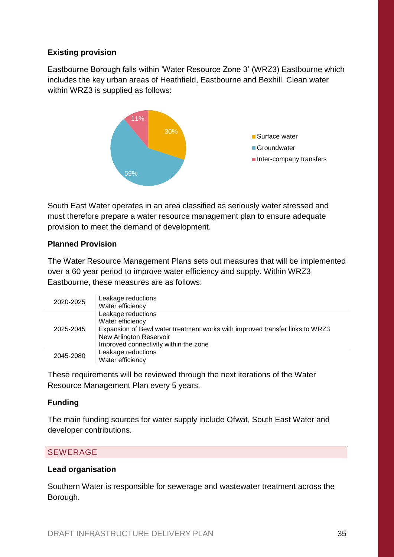## **Existing provision**

Eastbourne Borough falls within 'Water Resource Zone 3' (WRZ3) Eastbourne which includes the key urban areas of Heathfield, Eastbourne and Bexhill. Clean water within WRZ3 is supplied as follows:



South East Water operates in an area classified as seriously water stressed and must therefore prepare a water resource management plan to ensure adequate provision to meet the demand of development.

## **Planned Provision**

The Water Resource Management Plans sets out measures that will be implemented over a 60 year period to improve water efficiency and supply. Within WRZ3 Eastbourne, these measures are as follows:

| 2020-2025 | Leakage reductions<br>Water efficiency                                                                                                                                                     |
|-----------|--------------------------------------------------------------------------------------------------------------------------------------------------------------------------------------------|
| 2025-2045 | Leakage reductions<br>Water efficiency<br>Expansion of Bewl water treatment works with improved transfer links to WRZ3<br>New Arlington Reservoir<br>Improved connectivity within the zone |
| 2045-2080 | Leakage reductions<br>Water efficiency                                                                                                                                                     |

These requirements will be reviewed through the next iterations of the Water Resource Management Plan every 5 years.

## **Funding**

The main funding sources for water supply include Ofwat, South East Water and developer contributions.

## <span id="page-34-0"></span>SEWERAGE

## **Lead organisation**

Southern Water is responsible for sewerage and wastewater treatment across the Borough.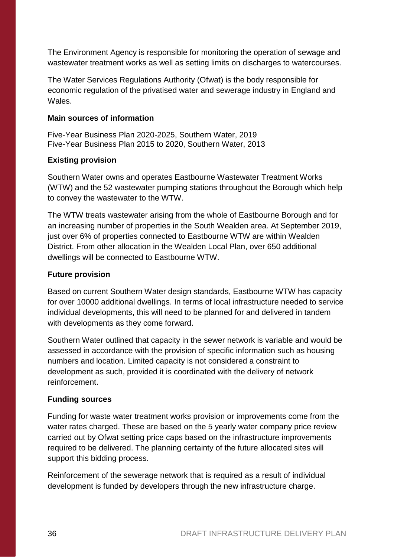The Environment Agency is responsible for monitoring the operation of sewage and wastewater treatment works as well as setting limits on discharges to watercourses.

The Water Services Regulations Authority (Ofwat) is the body responsible for economic regulation of the privatised water and sewerage industry in England and Wales.

#### **Main sources of information**

Five-Year Business Plan 2020-2025, Southern Water, 2019 Five-Year Business Plan 2015 to 2020, Southern Water, 2013

#### **Existing provision**

Southern Water owns and operates Eastbourne Wastewater Treatment Works (WTW) and the 52 wastewater pumping stations throughout the Borough which help to convey the wastewater to the WTW.

The WTW treats wastewater arising from the whole of Eastbourne Borough and for an increasing number of properties in the South Wealden area. At September 2019, just over 6% of properties connected to Eastbourne WTW are within Wealden District. From other allocation in the Wealden Local Plan, over 650 additional dwellings will be connected to Eastbourne WTW.

#### **Future provision**

Based on current Southern Water design standards, Eastbourne WTW has capacity for over 10000 additional dwellings. In terms of local infrastructure needed to service individual developments, this will need to be planned for and delivered in tandem with developments as they come forward.

Southern Water outlined that capacity in the sewer network is variable and would be assessed in accordance with the provision of specific information such as housing numbers and location. Limited capacity is not considered a constraint to development as such, provided it is coordinated with the delivery of network reinforcement.

#### **Funding sources**

Funding for waste water treatment works provision or improvements come from the water rates charged. These are based on the 5 yearly water company price review carried out by Ofwat setting price caps based on the infrastructure improvements required to be delivered. The planning certainty of the future allocated sites will support this bidding process.

Reinforcement of the sewerage network that is required as a result of individual development is funded by developers through the new infrastructure charge.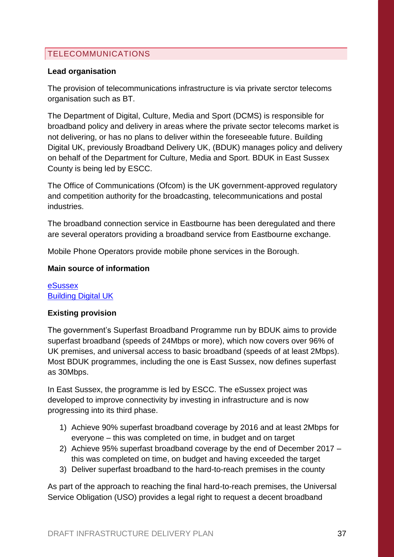### TELECOMMUNICATIONS

### **Lead organisation**

The provision of telecommunications infrastructure is via private serctor telecoms organisation such as BT.

The Department of Digital, Culture, Media and Sport (DCMS) is responsible for broadband policy and delivery in areas where the private sector telecoms market is not delivering, or has no plans to deliver within the foreseeable future. Building Digital UK, previously Broadband Delivery UK, (BDUK) manages policy and delivery on behalf of the Department for Culture, Media and Sport. BDUK in East Sussex County is being led by ESCC.

The Office of Communications (Ofcom) is the UK government-approved regulatory and competition authority for the broadcasting, telecommunications and postal industries.

The broadband connection service in Eastbourne has been deregulated and there are several operators providing a broadband service from Eastbourne exchange.

Mobile Phone Operators provide mobile phone services in the Borough.

### **Main source of information**

### [eSussex](https://www.esussex.org/) [Building Digital UK](https://www.gov.uk/guidance/building-digital-uk)

### **Existing provision**

The government's Superfast Broadband Programme run by BDUK aims to provide superfast broadband (speeds of 24Mbps or more), which now covers over 96% of UK premises, and universal access to basic broadband (speeds of at least 2Mbps). Most BDUK programmes, including the one is East Sussex, now defines superfast as 30Mbps.

In East Sussex, the programme is led by ESCC. The eSussex project was developed to improve connectivity by investing in infrastructure and is now progressing into its third phase.

- 1) Achieve 90% superfast broadband coverage by 2016 and at least 2Mbps for everyone – this was completed on time, in budget and on target
- 2) Achieve 95% superfast broadband coverage by the end of December 2017 this was completed on time, on budget and having exceeded the target
- 3) Deliver superfast broadband to the hard-to-reach premises in the county

As part of the approach to reaching the final hard-to-reach premises, the Universal Service Obligation (USO) provides a legal right to request a decent broadband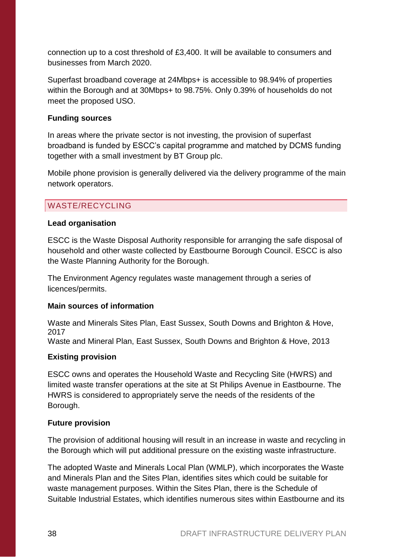connection up to a cost threshold of £3,400. It will be available to consumers and businesses from March 2020.

Superfast broadband coverage at 24Mbps+ is accessible to 98.94% of properties within the Borough and at 30Mbps+ to 98.75%. Only 0.39% of households do not meet the proposed USO.

#### **Funding sources**

In areas where the private sector is not investing, the provision of superfast broadband is funded by ESCC's capital programme and matched by DCMS funding together with a small investment by BT Group plc.

Mobile phone provision is generally delivered via the delivery programme of the main network operators.

### WASTE/RECYCLING

### **Lead organisation**

ESCC is the Waste Disposal Authority responsible for arranging the safe disposal of household and other waste collected by Eastbourne Borough Council. ESCC is also the Waste Planning Authority for the Borough.

The Environment Agency regulates waste management through a series of licences/permits.

#### **Main sources of information**

Waste and Minerals Sites Plan, East Sussex, South Downs and Brighton & Hove, 2017

Waste and Mineral Plan, East Sussex, South Downs and Brighton & Hove, 2013

### **Existing provision**

ESCC owns and operates the Household Waste and Recycling Site (HWRS) and limited waste transfer operations at the site at St Philips Avenue in Eastbourne. The HWRS is considered to appropriately serve the needs of the residents of the Borough.

### **Future provision**

The provision of additional housing will result in an increase in waste and recycling in the Borough which will put additional pressure on the existing waste infrastructure.

The adopted Waste and Minerals Local Plan (WMLP), which incorporates the Waste and Minerals Plan and the Sites Plan, identifies sites which could be suitable for waste management purposes. Within the Sites Plan, there is the Schedule of Suitable Industrial Estates, which identifies numerous sites within Eastbourne and its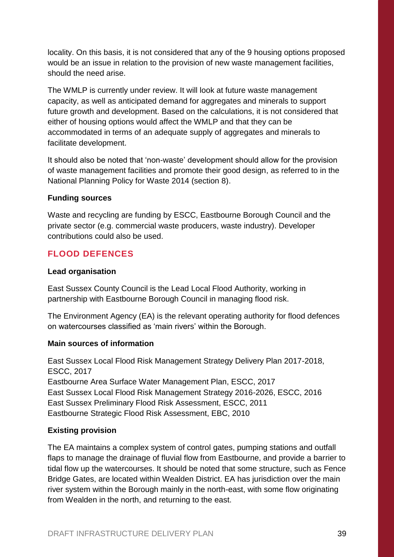locality. On this basis, it is not considered that any of the 9 housing options proposed would be an issue in relation to the provision of new waste management facilities, should the need arise.

The WMLP is currently under review. It will look at future waste management capacity, as well as anticipated demand for aggregates and minerals to support future growth and development. Based on the calculations, it is not considered that either of housing options would affect the WMLP and that they can be accommodated in terms of an adequate supply of aggregates and minerals to facilitate development.

It should also be noted that 'non-waste' development should allow for the provision of waste management facilities and promote their good design, as referred to in the National Planning Policy for Waste 2014 (section 8).

### **Funding sources**

Waste and recycling are funding by ESCC, Eastbourne Borough Council and the private sector (e.g. commercial waste producers, waste industry). Developer contributions could also be used.

## **FLOOD DEFENCES**

### **Lead organisation**

East Sussex County Council is the Lead Local Flood Authority, working in partnership with Eastbourne Borough Council in managing flood risk.

The Environment Agency (EA) is the relevant operating authority for flood defences on watercourses classified as 'main rivers' within the Borough.

### **Main sources of information**

East Sussex Local Flood Risk Management Strategy Delivery Plan 2017-2018, ESCC, 2017 Eastbourne Area Surface Water Management Plan, ESCC, 2017 East Sussex Local Flood Risk Management Strategy 2016-2026, ESCC, 2016 East Sussex Preliminary Flood Risk Assessment, ESCC, 2011 Eastbourne Strategic Flood Risk Assessment, EBC, 2010

### **Existing provision**

The EA maintains a complex system of control gates, pumping stations and outfall flaps to manage the drainage of fluvial flow from Eastbourne, and provide a barrier to tidal flow up the watercourses. It should be noted that some structure, such as Fence Bridge Gates, are located within Wealden District. EA has jurisdiction over the main river system within the Borough mainly in the north-east, with some flow originating from Wealden in the north, and returning to the east.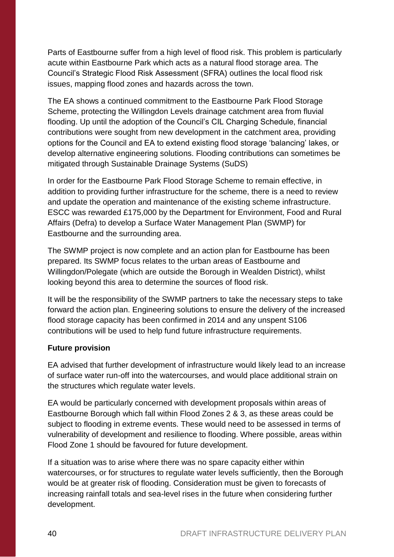Parts of Eastbourne suffer from a high level of flood risk. This problem is particularly acute within Eastbourne Park which acts as a natural flood storage area. The Council's Strategic Flood Risk Assessment (SFRA) outlines the local flood risk issues, mapping flood zones and hazards across the town.

The EA shows a continued commitment to the Eastbourne Park Flood Storage Scheme, protecting the Willingdon Levels drainage catchment area from fluvial flooding. Up until the adoption of the Council's CIL Charging Schedule, financial contributions were sought from new development in the catchment area, providing options for the Council and EA to extend existing flood storage 'balancing' lakes, or develop alternative engineering solutions. Flooding contributions can sometimes be mitigated through Sustainable Drainage Systems (SuDS)

In order for the Eastbourne Park Flood Storage Scheme to remain effective, in addition to providing further infrastructure for the scheme, there is a need to review and update the operation and maintenance of the existing scheme infrastructure. ESCC was rewarded £175,000 by the Department for Environment, Food and Rural Affairs (Defra) to develop a Surface Water Management Plan (SWMP) for Eastbourne and the surrounding area.

The SWMP project is now complete and an action plan for Eastbourne has been prepared. Its SWMP focus relates to the urban areas of Eastbourne and Willingdon/Polegate (which are outside the Borough in Wealden District), whilst looking beyond this area to determine the sources of flood risk.

It will be the responsibility of the SWMP partners to take the necessary steps to take forward the action plan. Engineering solutions to ensure the delivery of the increased flood storage capacity has been confirmed in 2014 and any unspent S106 contributions will be used to help fund future infrastructure requirements.

### **Future provision**

EA advised that further development of infrastructure would likely lead to an increase of surface water run-off into the watercourses, and would place additional strain on the structures which regulate water levels.

EA would be particularly concerned with development proposals within areas of Eastbourne Borough which fall within Flood Zones 2 & 3, as these areas could be subject to flooding in extreme events. These would need to be assessed in terms of vulnerability of development and resilience to flooding. Where possible, areas within Flood Zone 1 should be favoured for future development.

If a situation was to arise where there was no spare capacity either within watercourses, or for structures to regulate water levels sufficiently, then the Borough would be at greater risk of flooding. Consideration must be given to forecasts of increasing rainfall totals and sea-level rises in the future when considering further development.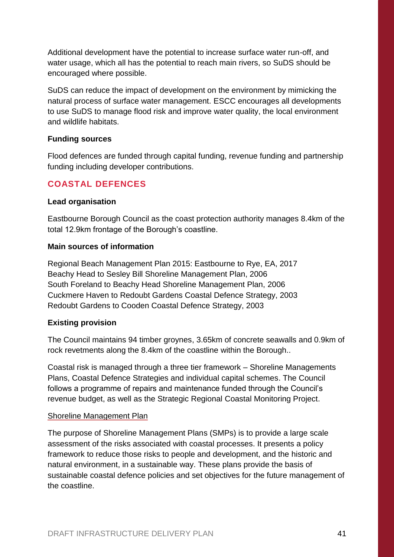Additional development have the potential to increase surface water run-off, and water usage, which all has the potential to reach main rivers, so SuDS should be encouraged where possible.

SuDS can reduce the impact of development on the environment by mimicking the natural process of surface water management. ESCC encourages all developments to use SuDS to manage flood risk and improve water quality, the local environment and wildlife habitats.

### **Funding sources**

Flood defences are funded through capital funding, revenue funding and partnership funding including developer contributions.

### **COASTAL DEFENCES**

### **Lead organisation**

Eastbourne Borough Council as the coast protection authority manages 8.4km of the total 12.9km frontage of the Borough's coastline.

### **Main sources of information**

Regional Beach Management Plan 2015: Eastbourne to Rye, EA, 2017 Beachy Head to Sesley Bill Shoreline Management Plan, 2006 South Foreland to Beachy Head Shoreline Management Plan, 2006 Cuckmere Haven to Redoubt Gardens Coastal Defence Strategy, 2003 Redoubt Gardens to Cooden Coastal Defence Strategy, 2003

### **Existing provision**

The Council maintains 94 timber groynes, 3.65km of concrete seawalls and 0.9km of rock revetments along the 8.4km of the coastline within the Borough..

Coastal risk is managed through a three tier framework – Shoreline Managements Plans, Coastal Defence Strategies and individual capital schemes. The Council follows a programme of repairs and maintenance funded through the Council's revenue budget, as well as the Strategic Regional Coastal Monitoring Project.

#### Shoreline Management Plan

The purpose of Shoreline Management Plans (SMPs) is to provide a large scale assessment of the risks associated with coastal processes. It presents a policy framework to reduce those risks to people and development, and the historic and natural environment, in a sustainable way. These plans provide the basis of sustainable coastal defence policies and set objectives for the future management of the coastline.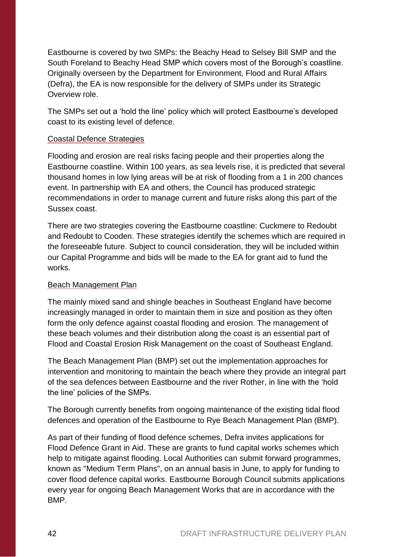Eastbourne is covered by two SMPs: the Beachy Head to Selsey Bill SMP and the South Foreland to Beachy Head SMP which covers most of the Borough's coastline. Originally overseen by the Department for Environment, Flood and Rural Affairs (Defra), the EA is now responsible for the delivery of SMPs under its Strategic Overview role.

The SMPs set out a 'hold the line' policy which will protect Eastbourne's developed coast to its existing level of defence.

#### Coastal Defence Strategies

Flooding and erosion are real risks facing people and their properties along the Eastbourne coastline. Within 100 years, as sea levels rise, it is predicted that several thousand homes in low lying areas will be at risk of flooding from a 1 in 200 chances event. In partnership with EA and others, the Council has produced strategic recommendations in order to manage current and future risks along this part of the Sussex coast.

There are two strategies covering the Eastbourne coastline: Cuckmere to Redoubt and Redoubt to Cooden. These strategies identify the schemes which are required in the foreseeable future. Subject to council consideration, they will be included within our Capital Programme and bids will be made to the EA for grant aid to fund the works.

### Beach Management Plan

The mainly mixed sand and shingle beaches in Southeast England have become increasingly managed in order to maintain them in size and position as they often form the only defence against coastal flooding and erosion. The management of these beach volumes and their distribution along the coast is an essential part of Flood and Coastal Erosion Risk Management on the coast of Southeast England.

The Beach Management Plan (BMP) set out the implementation approaches for intervention and monitoring to maintain the beach where they provide an integral part of the sea defences between Eastbourne and the river Rother, in line with the 'hold the line' policies of the SMPs.

The Borough currently benefits from ongoing maintenance of the existing tidal flood defences and operation of the Eastbourne to Rye Beach Management Plan (BMP).

As part of their funding of flood defence schemes, Defra invites applications for Flood Defence Grant in Aid. These are grants to fund capital works schemes which help to mitigate against flooding. Local Authorities can submit forward programmes, known as "Medium Term Plans", on an annual basis in June, to apply for funding to cover flood defence capital works. Eastbourne Borough Council submits applications every year for ongoing Beach Management Works that are in accordance with the BMP.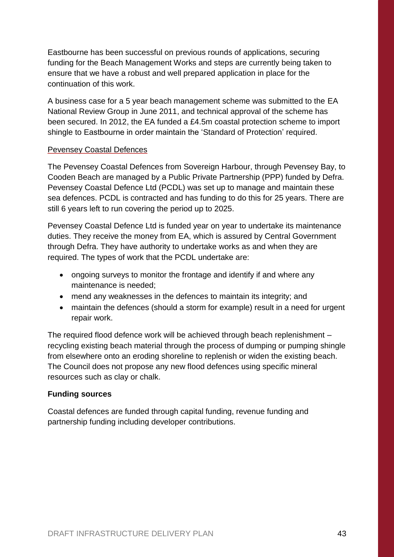Eastbourne has been successful on previous rounds of applications, securing funding for the Beach Management Works and steps are currently being taken to ensure that we have a robust and well prepared application in place for the continuation of this work.

A business case for a 5 year beach management scheme was submitted to the EA National Review Group in June 2011, and technical approval of the scheme has been secured. In 2012, the EA funded a £4.5m coastal protection scheme to import shingle to Eastbourne in order maintain the 'Standard of Protection' required.

### Pevensey Coastal Defences

The Pevensey Coastal Defences from Sovereign Harbour, through Pevensey Bay, to Cooden Beach are managed by a Public Private Partnership (PPP) funded by Defra. Pevensey Coastal Defence Ltd (PCDL) was set up to manage and maintain these sea defences. PCDL is contracted and has funding to do this for 25 years. There are still 6 years left to run covering the period up to 2025.

Pevensey Coastal Defence Ltd is funded year on year to undertake its maintenance duties. They receive the money from EA, which is assured by Central Government through Defra. They have authority to undertake works as and when they are required. The types of work that the PCDL undertake are:

- ongoing surveys to monitor the frontage and identify if and where any maintenance is needed;
- mend any weaknesses in the defences to maintain its integrity; and
- maintain the defences (should a storm for example) result in a need for urgent repair work.

The required flood defence work will be achieved through beach replenishment – recycling existing beach material through the process of dumping or pumping shingle from elsewhere onto an eroding shoreline to replenish or widen the existing beach. The Council does not propose any new flood defences using specific mineral resources such as clay or chalk.

### **Funding sources**

Coastal defences are funded through capital funding, revenue funding and partnership funding including developer contributions.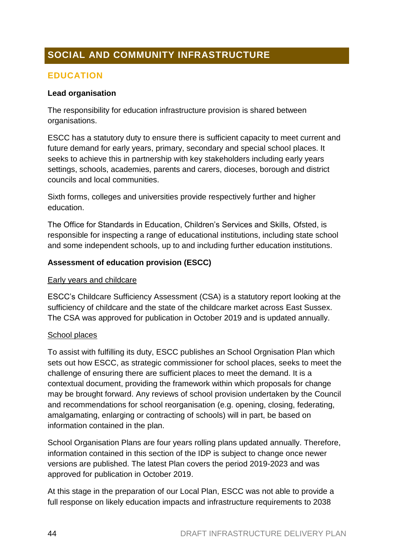# **SOCIAL AND COMMUNITY INFRASTRUCTURE**

### **EDUCATION**

### **Lead organisation**

The responsibility for education infrastructure provision is shared between organisations.

ESCC has a statutory duty to ensure there is sufficient capacity to meet current and future demand for early years, primary, secondary and special school places. It seeks to achieve this in partnership with key stakeholders including early years settings, schools, academies, parents and carers, dioceses, borough and district councils and local communities.

Sixth forms, colleges and universities provide respectively further and higher education.

The Office for Standards in Education, Children's Services and Skills, Ofsted, is responsible for inspecting a range of educational institutions, including state school and some independent schools, up to and including further education institutions.

### **Assessment of education provision (ESCC)**

#### Early years and childcare

ESCC's Childcare Sufficiency Assessment (CSA) is a statutory report looking at the sufficiency of childcare and the state of the childcare market across East Sussex. The CSA was approved for publication in October 2019 and is updated annually.

#### School places

To assist with fulfilling its duty, ESCC publishes an School Orgnisation Plan which sets out how ESCC, as strategic commissioner for school places, seeks to meet the challenge of ensuring there are sufficient places to meet the demand. It is a contextual document, providing the framework within which proposals for change may be brought forward. Any reviews of school provision undertaken by the Council and recommendations for school reorganisation (e.g. opening, closing, federating, amalgamating, enlarging or contracting of schools) will in part, be based on information contained in the plan.

School Organisation Plans are four years rolling plans updated annually. Therefore, information contained in this section of the IDP is subject to change once newer versions are published. The latest Plan covers the period 2019-2023 and was approved for publication in October 2019.

At this stage in the preparation of our Local Plan, ESCC was not able to provide a full response on likely education impacts and infrastructure requirements to 2038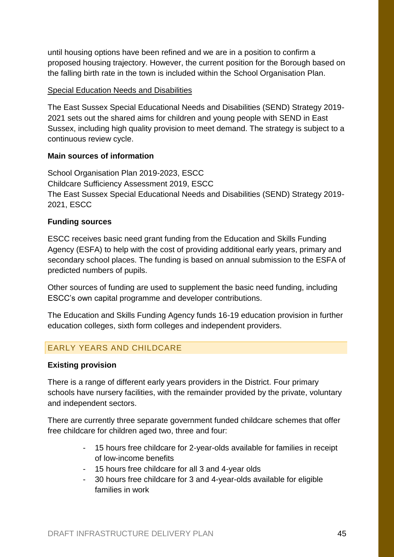until housing options have been refined and we are in a position to confirm a proposed housing trajectory. However, the current position for the Borough based on the falling birth rate in the town is included within the School Organisation Plan.

### Special Education Needs and Disabilities

The East Sussex Special Educational Needs and Disabilities (SEND) Strategy 2019- 2021 sets out the shared aims for children and young people with SEND in East Sussex, including high quality provision to meet demand. The strategy is subject to a continuous review cycle.

### **Main sources of information**

School Organisation Plan 2019-2023, ESCC Childcare Sufficiency Assessment 2019, ESCC The East Sussex Special Educational Needs and Disabilities (SEND) Strategy 2019- 2021, ESCC

### **Funding sources**

ESCC receives basic need grant funding from the Education and Skills Funding Agency (ESFA) to help with the cost of providing additional early years, primary and secondary school places. The funding is based on annual submission to the ESFA of predicted numbers of pupils.

Other sources of funding are used to supplement the basic need funding, including ESCC's own capital programme and developer contributions.

The Education and Skills Funding Agency funds 16-19 education provision in further education colleges, sixth form colleges and independent providers.

## EARLY YEARS AND CHILDCARE

### **Existing provision**

There is a range of different early years providers in the District. Four primary schools have nursery facilities, with the remainder provided by the private, voluntary and independent sectors.

There are currently three separate government funded childcare schemes that offer free childcare for children aged two, three and four:

- 15 hours free childcare for 2-year-olds available for families in receipt of low-income benefits
- 15 hours free childcare for all 3 and 4-year olds
- 30 hours free childcare for 3 and 4-year-olds available for eligible families in work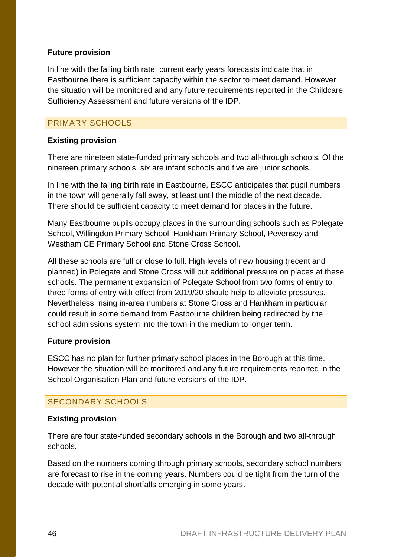### **Future provision**

In line with the falling birth rate, current early years forecasts indicate that in Eastbourne there is sufficient capacity within the sector to meet demand. However the situation will be monitored and any future requirements reported in the Childcare Sufficiency Assessment and future versions of the IDP.

### PRIMARY SCHOOLS

### **Existing provision**

There are nineteen state-funded primary schools and two all-through schools. Of the nineteen primary schools, six are infant schools and five are junior schools.

In line with the falling birth rate in Eastbourne, ESCC anticipates that pupil numbers in the town will generally fall away, at least until the middle of the next decade. There should be sufficient capacity to meet demand for places in the future.

Many Eastbourne pupils occupy places in the surrounding schools such as Polegate School, Willingdon Primary School, Hankham Primary School, Pevensey and Westham CE Primary School and Stone Cross School.

All these schools are full or close to full. High levels of new housing (recent and planned) in Polegate and Stone Cross will put additional pressure on places at these schools. The permanent expansion of Polegate School from two forms of entry to three forms of entry with effect from 2019/20 should help to alleviate pressures. Nevertheless, rising in-area numbers at Stone Cross and Hankham in particular could result in some demand from Eastbourne children being redirected by the school admissions system into the town in the medium to longer term.

### **Future provision**

ESCC has no plan for further primary school places in the Borough at this time. However the situation will be monitored and any future requirements reported in the School Organisation Plan and future versions of the IDP.

### SECONDARY SCHOOLS

### **Existing provision**

There are four state-funded secondary schools in the Borough and two all-through schools.

Based on the numbers coming through primary schools, secondary school numbers are forecast to rise in the coming years. Numbers could be tight from the turn of the decade with potential shortfalls emerging in some years.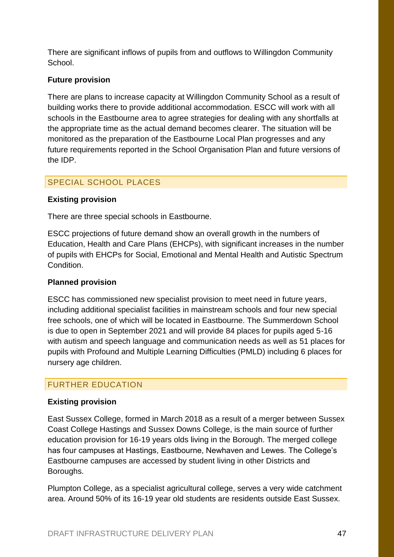There are significant inflows of pupils from and outflows to Willingdon Community School.

### **Future provision**

There are plans to increase capacity at Willingdon Community School as a result of building works there to provide additional accommodation. ESCC will work with all schools in the Eastbourne area to agree strategies for dealing with any shortfalls at the appropriate time as the actual demand becomes clearer. The situation will be monitored as the preparation of the Eastbourne Local Plan progresses and any future requirements reported in the School Organisation Plan and future versions of the IDP.

## SPECIAL SCHOOL PLACES

### **Existing provision**

There are three special schools in Eastbourne.

ESCC projections of future demand show an overall growth in the numbers of Education, Health and Care Plans (EHCPs), with significant increases in the number of pupils with EHCPs for Social, Emotional and Mental Health and Autistic Spectrum Condition.

### **Planned provision**

ESCC has commissioned new specialist provision to meet need in future years, including additional specialist facilities in mainstream schools and four new special free schools, one of which will be located in Eastbourne. The Summerdown School is due to open in September 2021 and will provide 84 places for pupils aged 5-16 with autism and speech language and communication needs as well as 51 places for pupils with Profound and Multiple Learning Difficulties (PMLD) including 6 places for nursery age children.

## FURTHER EDUCATION

### **Existing provision**

East Sussex College, formed in March 2018 as a result of a merger between Sussex Coast College Hastings and Sussex Downs College, is the main source of further education provision for 16-19 years olds living in the Borough. The merged college has four campuses at Hastings, Eastbourne, Newhaven and Lewes. The College's Eastbourne campuses are accessed by student living in other Districts and Boroughs.

Plumpton College, as a specialist agricultural college, serves a very wide catchment area. Around 50% of its 16-19 year old students are residents outside East Sussex.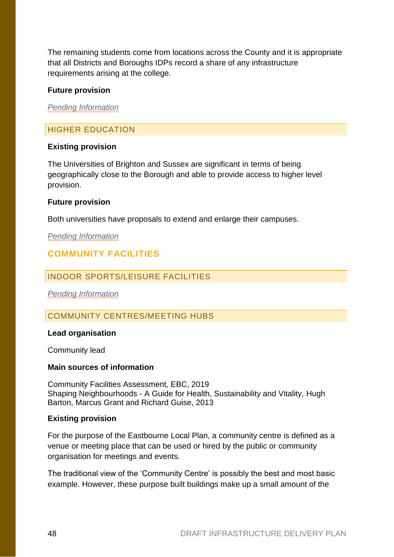The remaining students come from locations across the County and it is appropriate that all Districts and Boroughs IDPs record a share of any infrastructure requirements arising at the college.

#### **Future provision**

*Pending Information*

### HIGHER EDUCATION

### **Existing provision**

The Universities of Brighton and Sussex are significant in terms of being geographically close to the Borough and able to provide access to higher level provision.

### **Future provision**

Both universities have proposals to extend and enlarge their campuses.

*Pending Information*

### **COMMUNITY FACILITIES**

### INDOOR SPORTS/LEISURE FACILITIES

*Pending Information*

### COMMUNITY CENTRES/MEETING HUBS

#### **Lead organisation**

Community lead

#### **Main sources of information**

Community Facilities Assessment, EBC, 2019 Shaping Neighbourhoods - A Guide for Health, Sustainability and Vitality, Hugh Barton, Marcus Grant and Richard Guise, 2013

### **Existing provision**

For the purpose of the Eastbourne Local Plan, a community centre is defined as a venue or meeting place that can be used or hired by the public or community organisation for meetings and events.

The traditional view of the 'Community Centre' is possibly the best and most basic example. However, these purpose built buildings make up a small amount of the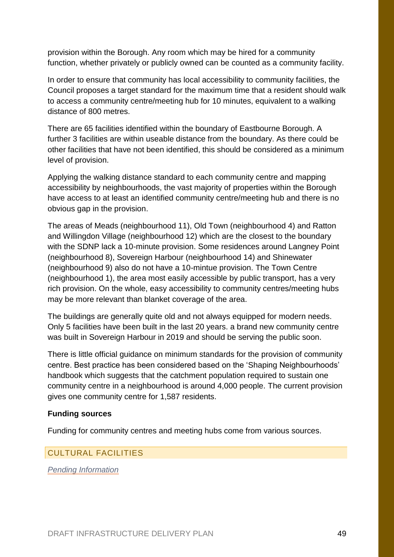provision within the Borough. Any room which may be hired for a community function, whether privately or publicly owned can be counted as a community facility.

In order to ensure that community has local accessibility to community facilities, the Council proposes a target standard for the maximum time that a resident should walk to access a community centre/meeting hub for 10 minutes, equivalent to a walking distance of 800 metres.

There are 65 facilities identified within the boundary of Eastbourne Borough. A further 3 facilities are within useable distance from the boundary. As there could be other facilities that have not been identified, this should be considered as a minimum level of provision.

Applying the walking distance standard to each community centre and mapping accessibility by neighbourhoods, the vast majority of properties within the Borough have access to at least an identified community centre/meeting hub and there is no obvious gap in the provision.

The areas of Meads (neighbourhood 11), Old Town (neighbourhood 4) and Ratton and Willingdon Village (neighbourhood 12) which are the closest to the boundary with the SDNP lack a 10-minute provision. Some residences around Langney Point (neighbourhood 8), Sovereign Harbour (neighbourhood 14) and Shinewater (neighbourhood 9) also do not have a 10-mintue provision. The Town Centre (neighbourhood 1), the area most easily accessible by public transport, has a very rich provision. On the whole, easy accessibility to community centres/meeting hubs may be more relevant than blanket coverage of the area.

The buildings are generally quite old and not always equipped for modern needs. Only 5 facilities have been built in the last 20 years. a brand new community centre was built in Sovereign Harbour in 2019 and should be serving the public soon.

There is little official guidance on minimum standards for the provision of community centre. Best practice has been considered based on the 'Shaping Neighbourhoods' handbook which suggests that the catchment population required to sustain one community centre in a neighbourhood is around 4,000 people. The current provision gives one community centre for 1,587 residents.

#### **Funding sources**

Funding for community centres and meeting hubs come from various sources.

### CULTURAL FACILITIES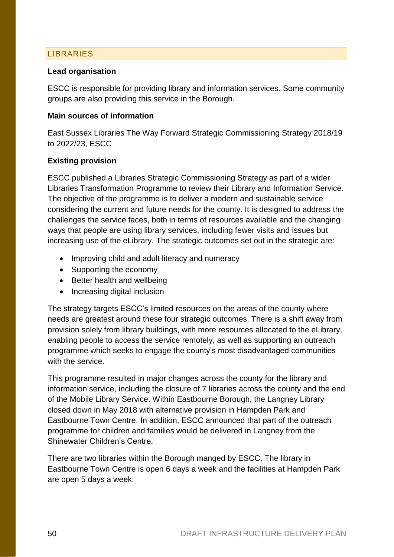### **LIBRARIES**

### **Lead organisation**

ESCC is responsible for providing library and information services. Some community groups are also providing this service in the Borough.

### **Main sources of information**

East Sussex Libraries The Way Forward Strategic Commissioning Strategy 2018/19 to 2022/23, ESCC

### **Existing provision**

ESCC published a Libraries Strategic Commissioning Strategy as part of a wider Libraries Transformation Programme to review their Library and Information Service. The objective of the programme is to deliver a modern and sustainable service considering the current and future needs for the county. It is designed to address the challenges the service faces, both in terms of resources available and the changing ways that people are using library services, including fewer visits and issues but increasing use of the eLibrary. The strategic outcomes set out in the strategic are:

- Improving child and adult literacy and numeracy
- Supporting the economy
- Better health and wellbeing
- Increasing digital inclusion

The strategy targets ESCC's limited resources on the areas of the county where needs are greatest around these four strategic outcomes. There is a shift away from provision solely from library buildings, with more resources allocated to the eLibrary, enabling people to access the service remotely, as well as supporting an outreach programme which seeks to engage the county's most disadvantaged communities with the service.

This programme resulted in major changes across the county for the library and information service, including the closure of 7 libraries across the county and the end of the Mobile Library Service. Within Eastbourne Borough, the Langney Library closed down in May 2018 with alternative provision in Hampden Park and Eastbourne Town Centre. In addition, ESCC announced that part of the outreach programme for children and families would be delivered in Langney from the Shinewater Children's Centre.

There are two libraries within the Borough manged by ESCC. The library in Eastbourne Town Centre is open 6 days a week and the facilities at Hampden Park are open 5 days a week.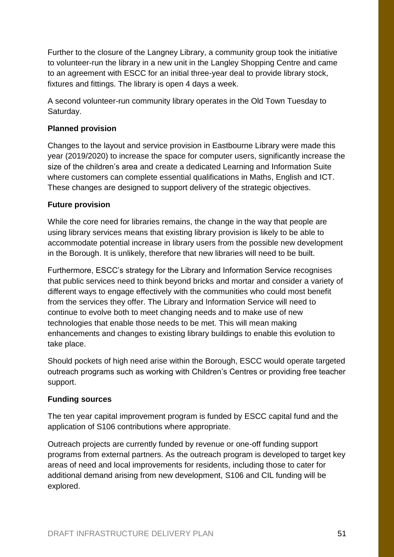Further to the closure of the Langney Library, a community group took the initiative to volunteer-run the library in a new unit in the Langley Shopping Centre and came to an agreement with ESCC for an initial three-year deal to provide library stock, fixtures and fittings. The library is open 4 days a week.

A second volunteer-run community library operates in the Old Town Tuesday to Saturday.

### **Planned provision**

Changes to the layout and service provision in Eastbourne Library were made this year (2019/2020) to increase the space for computer users, significantly increase the size of the children's area and create a dedicated Learning and Information Suite where customers can complete essential qualifications in Maths, English and ICT. These changes are designed to support delivery of the strategic objectives.

### **Future provision**

While the core need for libraries remains, the change in the way that people are using library services means that existing library provision is likely to be able to accommodate potential increase in library users from the possible new development in the Borough. It is unlikely, therefore that new libraries will need to be built.

Furthermore, ESCC's strategy for the Library and Information Service recognises that public services need to think beyond bricks and mortar and consider a variety of different ways to engage effectively with the communities who could most benefit from the services they offer. The Library and Information Service will need to continue to evolve both to meet changing needs and to make use of new technologies that enable those needs to be met. This will mean making enhancements and changes to existing library buildings to enable this evolution to take place.

Should pockets of high need arise within the Borough, ESCC would operate targeted outreach programs such as working with Children's Centres or providing free teacher support.

### **Funding sources**

The ten year capital improvement program is funded by ESCC capital fund and the application of S106 contributions where appropriate.

Outreach projects are currently funded by revenue or one-off funding support programs from external partners. As the outreach program is developed to target key areas of need and local improvements for residents, including those to cater for additional demand arising from new development, S106 and CIL funding will be explored.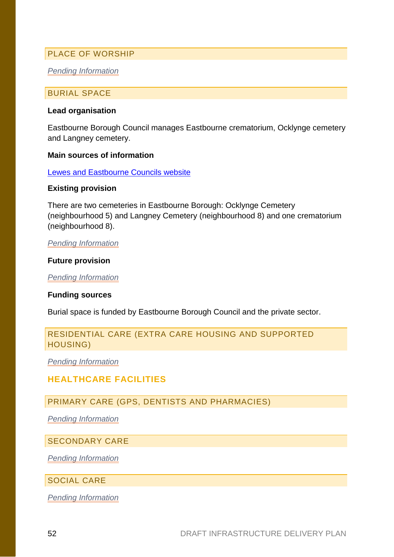### PLACE OF WORSHIP

*Pending Information*

### BURIAL SPACE

#### **Lead organisation**

Eastbourne Borough Council manages Eastbourne crematorium, Ocklynge cemetery and Langney cemetery.

#### **Main sources of information**

[Lewes and Eastbourne Councils website](https://www.lewes-eastbourne.gov.uk/cemeteries-and-crematorium/)

#### **Existing provision**

There are two cemeteries in Eastbourne Borough: Ocklynge Cemetery (neighbourhood 5) and Langney Cemetery (neighbourhood 8) and one crematorium (neighbourhood 8).

*Pending Information*

#### **Future provision**

*Pending Information*

#### **Funding sources**

Burial space is funded by Eastbourne Borough Council and the private sector.

### RESIDENTIAL CARE (EXTRA CARE HOUSING AND SUPPORTED HOUSING)

*Pending Information*

### **HEALTHCARE FACILITIES**

### PRIMARY CARE (GPS, DENTISTS AND PHARMACIES)

*Pending Information*

#### SECONDARY CARE

*Pending Information*

#### SOCIAL CARE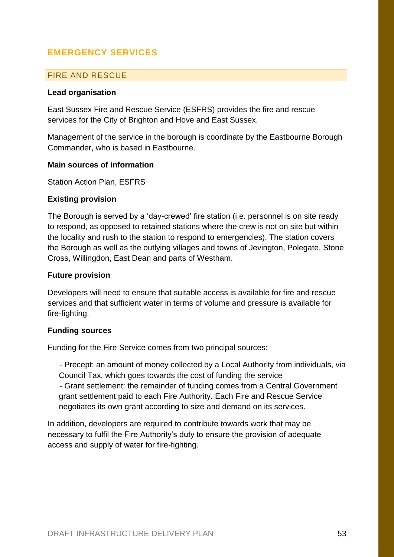## **EMERGENCY SERVICES**

#### FIRE AND RESCUE

#### **Lead organisation**

East Sussex Fire and Rescue Service (ESFRS) provides the fire and rescue services for the City of Brighton and Hove and East Sussex.

Management of the service in the borough is coordinate by the Eastbourne Borough Commander, who is based in Eastbourne.

#### **Main sources of information**

Station Action Plan, ESFRS

#### **Existing provision**

The Borough is served by a 'day-crewed' fire station (i.e. personnel is on site ready to respond, as opposed to retained stations where the crew is not on site but within the locality and rush to the station to respond to emergencies). The station covers the Borough as well as the outlying villages and towns of Jevington, Polegate, Stone Cross, Willingdon, East Dean and parts of Westham.

#### **Future provision**

Developers will need to ensure that suitable access is available for fire and rescue services and that sufficient water in terms of volume and pressure is available for fire-fighting.

#### **Funding sources**

Funding for the Fire Service comes from two principal sources:

- Precept: an amount of money collected by a Local Authority from individuals, via Council Tax, which goes towards the cost of funding the service - Grant settlement: the remainder of funding comes from a Central Government grant settlement paid to each Fire Authority. Each Fire and Rescue Service negotiates its own grant according to size and demand on its services.

In addition, developers are required to contribute towards work that may be necessary to fulfil the Fire Authority's duty to ensure the provision of adequate access and supply of water for fire-fighting.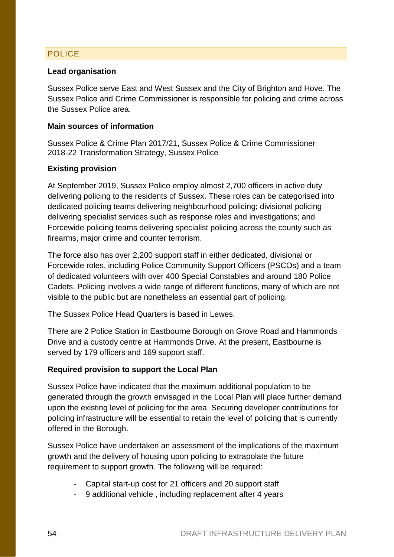### POLICE

#### **Lead organisation**

Sussex Police serve East and West Sussex and the City of Brighton and Hove. The Sussex Police and Crime Commissioner is responsible for policing and crime across the Sussex Police area.

#### **Main sources of information**

Sussex Police & Crime Plan 2017/21, Sussex Police & Crime Commissioner 2018-22 Transformation Strategy, Sussex Police

#### **Existing provision**

At September 2019, Sussex Police employ almost 2,700 officers in active duty delivering policing to the residents of Sussex. These roles can be categorised into dedicated policing teams delivering neighbourhood policing; divisional policing delivering specialist services such as response roles and investigations; and Forcewide policing teams delivering specialist policing across the county such as firearms, major crime and counter terrorism.

The force also has over 2,200 support staff in either dedicated, divisional or Forcewide roles, including Police Community Support Officers (PSCOs) and a team of dedicated volunteers with over 400 Special Constables and around 180 Police Cadets. Policing involves a wide range of different functions, many of which are not visible to the public but are nonetheless an essential part of policing.

The Sussex Police Head Quarters is based in Lewes.

There are 2 Police Station in Eastbourne Borough on Grove Road and Hammonds Drive and a custody centre at Hammonds Drive. At the present, Eastbourne is served by 179 officers and 169 support staff.

#### **Required provision to support the Local Plan**

Sussex Police have indicated that the maximum additional population to be generated through the growth envisaged in the Local Plan will place further demand upon the existing level of policing for the area. Securing developer contributions for policing infrastructure will be essential to retain the level of policing that is currently offered in the Borough.

Sussex Police have undertaken an assessment of the implications of the maximum growth and the delivery of housing upon policing to extrapolate the future requirement to support growth. The following will be required:

- Capital start-up cost for 21 officers and 20 support staff
- 9 additional vehicle , including replacement after 4 years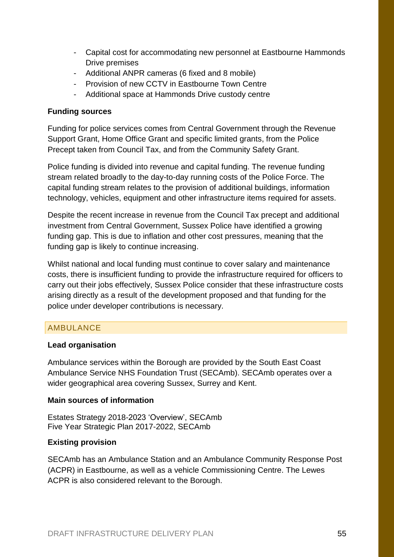- Capital cost for accommodating new personnel at Eastbourne Hammonds Drive premises
- Additional ANPR cameras (6 fixed and 8 mobile)
- Provision of new CCTV in Eastbourne Town Centre
- Additional space at Hammonds Drive custody centre

### **Funding sources**

Funding for police services comes from Central Government through the Revenue Support Grant, Home Office Grant and specific limited grants, from the Police Precept taken from Council Tax, and from the Community Safety Grant.

Police funding is divided into revenue and capital funding. The revenue funding stream related broadly to the day-to-day running costs of the Police Force. The capital funding stream relates to the provision of additional buildings, information technology, vehicles, equipment and other infrastructure items required for assets.

Despite the recent increase in revenue from the Council Tax precept and additional investment from Central Government, Sussex Police have identified a growing funding gap. This is due to inflation and other cost pressures, meaning that the funding gap is likely to continue increasing.

Whilst national and local funding must continue to cover salary and maintenance costs, there is insufficient funding to provide the infrastructure required for officers to carry out their jobs effectively, Sussex Police consider that these infrastructure costs arising directly as a result of the development proposed and that funding for the police under developer contributions is necessary.

### AMBULANCE

### **Lead organisation**

Ambulance services within the Borough are provided by the South East Coast Ambulance Service NHS Foundation Trust (SECAmb). SECAmb operates over a wider geographical area covering Sussex, Surrey and Kent.

#### **Main sources of information**

Estates Strategy 2018-2023 'Overview', SECAmb Five Year Strategic Plan 2017-2022, SECAmb

### **Existing provision**

SECAmb has an Ambulance Station and an Ambulance Community Response Post (ACPR) in Eastbourne, as well as a vehicle Commissioning Centre. The Lewes ACPR is also considered relevant to the Borough.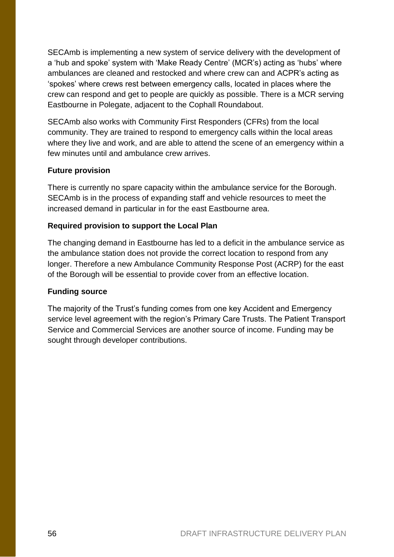SECAmb is implementing a new system of service delivery with the development of a 'hub and spoke' system with 'Make Ready Centre' (MCR's) acting as 'hubs' where ambulances are cleaned and restocked and where crew can and ACPR's acting as 'spokes' where crews rest between emergency calls, located in places where the crew can respond and get to people are quickly as possible. There is a MCR serving Eastbourne in Polegate, adjacent to the Cophall Roundabout.

SECAmb also works with Community First Responders (CFRs) from the local community. They are trained to respond to emergency calls within the local areas where they live and work, and are able to attend the scene of an emergency within a few minutes until and ambulance crew arrives.

### **Future provision**

There is currently no spare capacity within the ambulance service for the Borough. SECAmb is in the process of expanding staff and vehicle resources to meet the increased demand in particular in for the east Eastbourne area.

#### **Required provision to support the Local Plan**

The changing demand in Eastbourne has led to a deficit in the ambulance service as the ambulance station does not provide the correct location to respond from any longer. Therefore a new Ambulance Community Response Post (ACRP) for the east of the Borough will be essential to provide cover from an effective location.

#### **Funding source**

The majority of the Trust's funding comes from one key Accident and Emergency service level agreement with the region's Primary Care Trusts. The Patient Transport Service and Commercial Services are another source of income. Funding may be sought through developer contributions.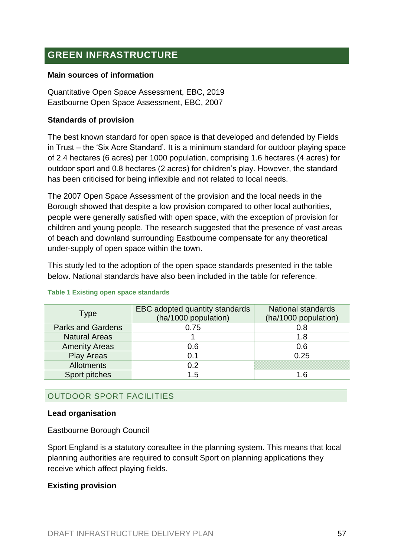# **GREEN INFRASTRUCTURE**

#### **Main sources of information**

Quantitative Open Space Assessment, EBC, 2019 Eastbourne Open Space Assessment, EBC, 2007

#### **Standards of provision**

The best known standard for open space is that developed and defended by Fields in Trust – the 'Six Acre Standard'. It is a minimum standard for outdoor playing space of 2.4 hectares (6 acres) per 1000 population, comprising 1.6 hectares (4 acres) for outdoor sport and 0.8 hectares (2 acres) for children's play. However, the standard has been criticised for being inflexible and not related to local needs.

The 2007 Open Space Assessment of the provision and the local needs in the Borough showed that despite a low provision compared to other local authorities, people were generally satisfied with open space, with the exception of provision for children and young people. The research suggested that the presence of vast areas of beach and downland surrounding Eastbourne compensate for any theoretical under-supply of open space within the town.

This study led to the adoption of the open space standards presented in the table below. National standards have also been included in the table for reference.

| <b>Type</b>              | EBC adopted quantity standards<br>(ha/1000 population) | National standards<br>(ha/1000 population) |
|--------------------------|--------------------------------------------------------|--------------------------------------------|
| <b>Parks and Gardens</b> | 0.75                                                   | 0.8                                        |
| <b>Natural Areas</b>     |                                                        | 1.8                                        |
| <b>Amenity Areas</b>     | 0.6                                                    | 0.6                                        |
| <b>Play Areas</b>        | 0.1                                                    | 0.25                                       |
| <b>Allotments</b>        | 0.2                                                    |                                            |
| Sport pitches            | 1.5                                                    | 1 6                                        |

#### **Table 1 Existing open space standards**

### OUTDOOR SPORT FACILITIES

#### **Lead organisation**

Eastbourne Borough Council

Sport England is a statutory consultee in the planning system. This means that local planning authorities are required to consult Sport on planning applications they receive which affect playing fields.

#### **Existing provision**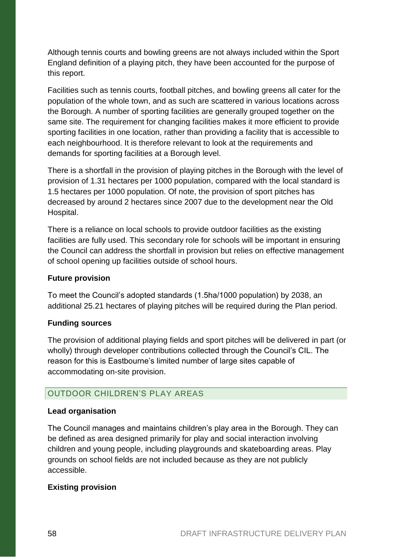Although tennis courts and bowling greens are not always included within the Sport England definition of a playing pitch, they have been accounted for the purpose of this report.

Facilities such as tennis courts, football pitches, and bowling greens all cater for the population of the whole town, and as such are scattered in various locations across the Borough. A number of sporting facilities are generally grouped together on the same site. The requirement for changing facilities makes it more efficient to provide sporting facilities in one location, rather than providing a facility that is accessible to each neighbourhood. It is therefore relevant to look at the requirements and demands for sporting facilities at a Borough level.

There is a shortfall in the provision of playing pitches in the Borough with the level of provision of 1.31 hectares per 1000 population, compared with the local standard is 1.5 hectares per 1000 population. Of note, the provision of sport pitches has decreased by around 2 hectares since 2007 due to the development near the Old Hospital.

There is a reliance on local schools to provide outdoor facilities as the existing facilities are fully used. This secondary role for schools will be important in ensuring the Council can address the shortfall in provision but relies on effective management of school opening up facilities outside of school hours.

### **Future provision**

To meet the Council's adopted standards (1.5ha/1000 population) by 2038, an additional 25.21 hectares of playing pitches will be required during the Plan period.

### **Funding sources**

The provision of additional playing fields and sport pitches will be delivered in part (or wholly) through developer contributions collected through the Council's CIL. The reason for this is Eastbourne's limited number of large sites capable of accommodating on-site provision.

### OUTDOOR CHILDREN'S PLAY AREAS

#### **Lead organisation**

The Council manages and maintains children's play area in the Borough. They can be defined as area designed primarily for play and social interaction involving children and young people, including playgrounds and skateboarding areas. Play grounds on school fields are not included because as they are not publicly accessible.

### **Existing provision**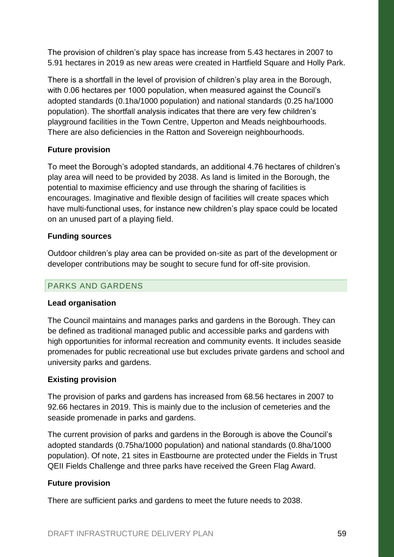The provision of children's play space has increase from 5.43 hectares in 2007 to 5.91 hectares in 2019 as new areas were created in Hartfield Square and Holly Park.

There is a shortfall in the level of provision of children's play area in the Borough, with 0.06 hectares per 1000 population, when measured against the Council's adopted standards (0.1ha/1000 population) and national standards (0.25 ha/1000 population). The shortfall analysis indicates that there are very few children's playground facilities in the Town Centre, Upperton and Meads neighbourhoods. There are also deficiencies in the Ratton and Sovereign neighbourhoods.

### **Future provision**

To meet the Borough's adopted standards, an additional 4.76 hectares of children's play area will need to be provided by 2038. As land is limited in the Borough, the potential to maximise efficiency and use through the sharing of facilities is encourages. Imaginative and flexible design of facilities will create spaces which have multi-functional uses, for instance new children's play space could be located on an unused part of a playing field.

### **Funding sources**

Outdoor children's play area can be provided on-site as part of the development or developer contributions may be sought to secure fund for off-site provision.

### PARKS AND GARDENS

### **Lead organisation**

The Council maintains and manages parks and gardens in the Borough. They can be defined as traditional managed public and accessible parks and gardens with high opportunities for informal recreation and community events. It includes seaside promenades for public recreational use but excludes private gardens and school and university parks and gardens.

### **Existing provision**

The provision of parks and gardens has increased from 68.56 hectares in 2007 to 92.66 hectares in 2019. This is mainly due to the inclusion of cemeteries and the seaside promenade in parks and gardens.

The current provision of parks and gardens in the Borough is above the Council's adopted standards (0.75ha/1000 population) and national standards (0.8ha/1000 population). Of note, 21 sites in Eastbourne are protected under the Fields in Trust QEII Fields Challenge and three parks have received the Green Flag Award.

### **Future provision**

There are sufficient parks and gardens to meet the future needs to 2038.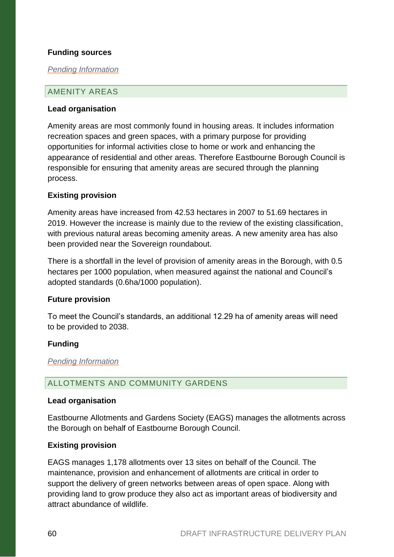### **Funding sources**

*Pending Information*

### AMENITY AREAS

#### **Lead organisation**

Amenity areas are most commonly found in housing areas. It includes information recreation spaces and green spaces, with a primary purpose for providing opportunities for informal activities close to home or work and enhancing the appearance of residential and other areas. Therefore Eastbourne Borough Council is responsible for ensuring that amenity areas are secured through the planning process.

### **Existing provision**

Amenity areas have increased from 42.53 hectares in 2007 to 51.69 hectares in 2019. However the increase is mainly due to the review of the existing classification, with previous natural areas becoming amenity areas. A new amenity area has also been provided near the Sovereign roundabout.

There is a shortfall in the level of provision of amenity areas in the Borough, with 0.5 hectares per 1000 population, when measured against the national and Council's adopted standards (0.6ha/1000 population).

#### **Future provision**

To meet the Council's standards, an additional 12.29 ha of amenity areas will need to be provided to 2038.

#### **Funding**

#### *Pending Information*

### ALLOTMENTS AND COMMUNITY GARDENS

#### **Lead organisation**

Eastbourne Allotments and Gardens Society (EAGS) manages the allotments across the Borough on behalf of Eastbourne Borough Council.

#### **Existing provision**

EAGS manages 1,178 allotments over 13 sites on behalf of the Council. The maintenance, provision and enhancement of allotments are critical in order to support the delivery of green networks between areas of open space. Along with providing land to grow produce they also act as important areas of biodiversity and attract abundance of wildlife.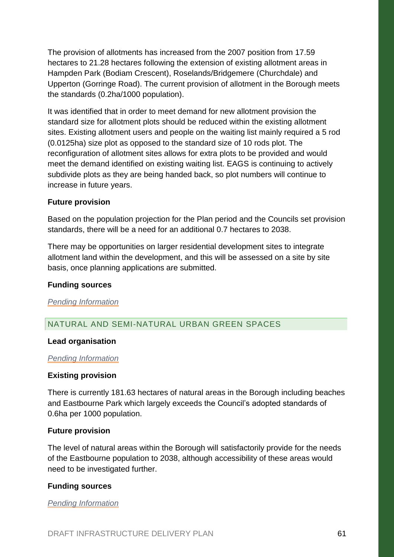The provision of allotments has increased from the 2007 position from 17.59 hectares to 21.28 hectares following the extension of existing allotment areas in Hampden Park (Bodiam Crescent), Roselands/Bridgemere (Churchdale) and Upperton (Gorringe Road). The current provision of allotment in the Borough meets the standards (0.2ha/1000 population).

It was identified that in order to meet demand for new allotment provision the standard size for allotment plots should be reduced within the existing allotment sites. Existing allotment users and people on the waiting list mainly required a 5 rod (0.0125ha) size plot as opposed to the standard size of 10 rods plot. The reconfiguration of allotment sites allows for extra plots to be provided and would meet the demand identified on existing waiting list. EAGS is continuing to actively subdivide plots as they are being handed back, so plot numbers will continue to increase in future years.

### **Future provision**

Based on the population projection for the Plan period and the Councils set provision standards, there will be a need for an additional 0.7 hectares to 2038.

There may be opportunities on larger residential development sites to integrate allotment land within the development, and this will be assessed on a site by site basis, once planning applications are submitted.

#### **Funding sources**

*Pending Information*

### NATURAL AND SEMI-NATURAL URBAN GREEN SPACES

#### **Lead organisation**

#### *Pending Information*

#### **Existing provision**

There is currently 181.63 hectares of natural areas in the Borough including beaches and Eastbourne Park which largely exceeds the Council's adopted standards of 0.6ha per 1000 population.

#### **Future provision**

The level of natural areas within the Borough will satisfactorily provide for the needs of the Eastbourne population to 2038, although accessibility of these areas would need to be investigated further.

#### **Funding sources**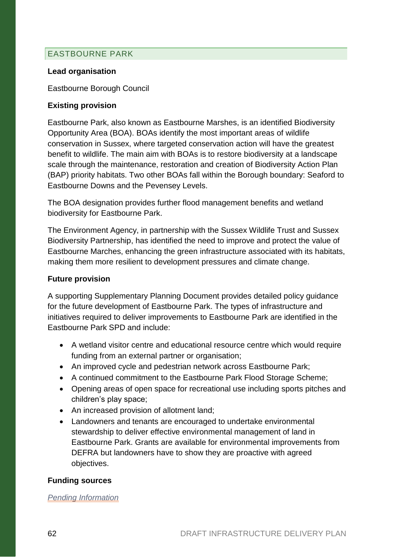### EASTBOURNE PARK

#### **Lead organisation**

Eastbourne Borough Council

### **Existing provision**

Eastbourne Park, also known as Eastbourne Marshes, is an identified Biodiversity Opportunity Area (BOA). BOAs identify the most important areas of wildlife conservation in Sussex, where targeted conservation action will have the greatest benefit to wildlife. The main aim with BOAs is to restore biodiversity at a landscape scale through the maintenance, restoration and creation of Biodiversity Action Plan (BAP) priority habitats. Two other BOAs fall within the Borough boundary: Seaford to Eastbourne Downs and the Pevensey Levels.

The BOA designation provides further flood management benefits and wetland biodiversity for Eastbourne Park.

The Environment Agency, in partnership with the Sussex Wildlife Trust and Sussex Biodiversity Partnership, has identified the need to improve and protect the value of Eastbourne Marches, enhancing the green infrastructure associated with its habitats, making them more resilient to development pressures and climate change.

### **Future provision**

A supporting Supplementary Planning Document provides detailed policy guidance for the future development of Eastbourne Park. The types of infrastructure and initiatives required to deliver improvements to Eastbourne Park are identified in the Eastbourne Park SPD and include:

- A wetland visitor centre and educational resource centre which would require funding from an external partner or organisation;
- An improved cycle and pedestrian network across Eastbourne Park;
- A continued commitment to the Eastbourne Park Flood Storage Scheme;
- Opening areas of open space for recreational use including sports pitches and children's play space;
- An increased provision of allotment land;
- Landowners and tenants are encouraged to undertake environmental stewardship to deliver effective environmental management of land in Eastbourne Park. Grants are available for environmental improvements from DEFRA but landowners have to show they are proactive with agreed objectives.

#### **Funding sources**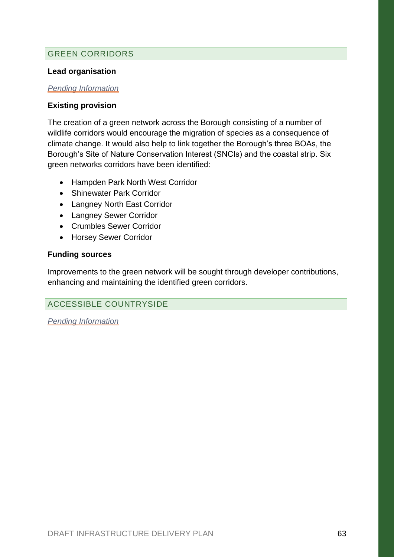### GREEN CORRIDORS

#### **Lead organisation**

#### *Pending Information*

#### **Existing provision**

The creation of a green network across the Borough consisting of a number of wildlife corridors would encourage the migration of species as a consequence of climate change. It would also help to link together the Borough's three BOAs, the Borough's Site of Nature Conservation Interest (SNCIs) and the coastal strip. Six green networks corridors have been identified:

- Hampden Park North West Corridor
- Shinewater Park Corridor
- Langney North East Corridor
- Langney Sewer Corridor
- Crumbles Sewer Corridor
- Horsey Sewer Corridor

#### **Funding sources**

Improvements to the green network will be sought through developer contributions, enhancing and maintaining the identified green corridors.

### ACCESSIBLE COUNTRYSIDE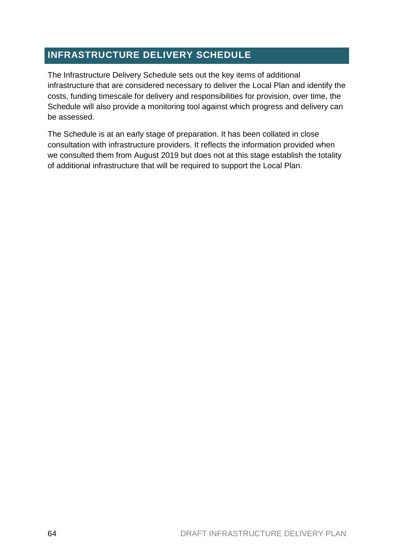# **INFRASTRUCTURE DELIVERY SCHEDULE**

The Infrastructure Delivery Schedule sets out the key items of additional infrastructure that are considered necessary to deliver the Local Plan and identify the costs, funding timescale for delivery and responsibilities for provision, over time, the Schedule will also provide a monitoring tool against which progress and delivery can be assessed.

The Schedule is at an early stage of preparation. It has been collated in close consultation with infrastructure providers. It reflects the information provided when we consulted them from August 2019 but does not at this stage establish the totality of additional infrastructure that will be required to support the Local Plan.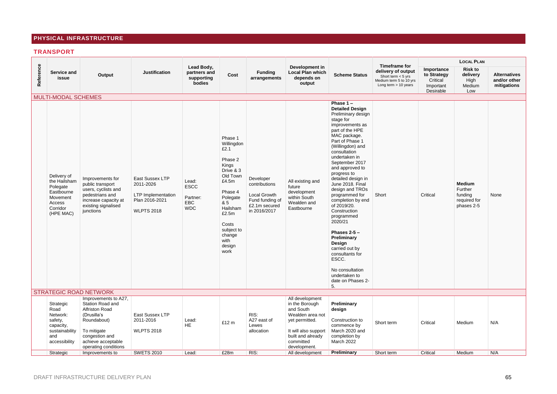## **PHYSICAL INFRASTRUCTURE**

### **TRANSPORT**

|           | <b>INANUE UN I</b>                                                                                   |                                                                                                                                                                                |                                                                                                         |                                                              |                                                                                                                                                                                                   |                                                                                                |                                                                                                                                                                |                                                                                                                                                                                                                                                                                                                                                                                                                                                                                                                                                                                       |                                                     |                                                    |                                                                   |      |
|-----------|------------------------------------------------------------------------------------------------------|--------------------------------------------------------------------------------------------------------------------------------------------------------------------------------|---------------------------------------------------------------------------------------------------------|--------------------------------------------------------------|---------------------------------------------------------------------------------------------------------------------------------------------------------------------------------------------------|------------------------------------------------------------------------------------------------|----------------------------------------------------------------------------------------------------------------------------------------------------------------|---------------------------------------------------------------------------------------------------------------------------------------------------------------------------------------------------------------------------------------------------------------------------------------------------------------------------------------------------------------------------------------------------------------------------------------------------------------------------------------------------------------------------------------------------------------------------------------|-----------------------------------------------------|----------------------------------------------------|-------------------------------------------------------------------|------|
|           |                                                                                                      |                                                                                                                                                                                |                                                                                                         |                                                              |                                                                                                                                                                                                   |                                                                                                | Development in                                                                                                                                                 |                                                                                                                                                                                                                                                                                                                                                                                                                                                                                                                                                                                       | <b>Timeframe for</b>                                |                                                    | <b>LOCAL PLAN</b>                                                 |      |
| Reference | <b>Service and</b><br>issue                                                                          | Output                                                                                                                                                                         | <b>Justification</b>                                                                                    | Lead Body,<br>partners and<br>Cost<br>supporting<br>bodies   | <b>Funding</b><br><b>Local Plan which</b><br>depends on<br>arrangements<br>output                                                                                                                 | <b>Scheme Status</b>                                                                           | delivery of output<br>Short term $<$ 5 yrs<br>Medium term 5 to 10 yrs<br>Long term $> 10$ years                                                                | Importance<br>to Strategy<br>Critical<br>Important<br>Desirable                                                                                                                                                                                                                                                                                                                                                                                                                                                                                                                       | <b>Risk to</b><br>delivery<br>High<br>Medium<br>Low | <b>Alternatives</b><br>and/or other<br>mitigations |                                                                   |      |
|           | <b>MULTI-MODAL SCHEMES</b>                                                                           |                                                                                                                                                                                |                                                                                                         |                                                              |                                                                                                                                                                                                   |                                                                                                |                                                                                                                                                                |                                                                                                                                                                                                                                                                                                                                                                                                                                                                                                                                                                                       |                                                     |                                                    |                                                                   |      |
|           | Delivery of<br>the Hailsham<br>Polegate<br>Eastbourne<br>Movement<br>Access<br>Corridor<br>(HPE MAC) | Improvements for<br>public transport<br>users, cyclists and<br>pedestrians and<br>increase capacity at<br>existing signalised<br>junctions                                     | <b>East Sussex LTP</b><br>2011-2026<br><b>LTP</b> Implementation<br>Plan 2016-2021<br><b>WLPTS 2018</b> | Lead:<br><b>ESCC</b><br>Partner:<br><b>EBC</b><br><b>WDC</b> | Phase 1<br>Willingdon<br>£2.1<br>Phase 2<br>Kings<br>Drive & 3<br>Old Town<br>£4.5m<br>Phase 4<br>Polegate<br>& 5<br>Hailsham<br>£2.5m<br>Costs<br>subject to<br>change<br>with<br>design<br>work | Developer<br>contributions<br>Local Growth<br>Fund funding of<br>£2.1m secured<br>in 2016/2017 | All existing and<br>future<br>development<br>within South<br>Wealden and<br>Eastbourne                                                                         | Phase $1 -$<br><b>Detailed Design</b><br>Preliminary design<br>stage for<br>improvements as<br>part of the HPE<br>MAC package.<br>Part of Phase 1<br>(Willingdon) and<br>consultation<br>undertaken in<br>September 2017<br>and approved to<br>progress to<br>detailed design in<br>June 2018. Final<br>design and TROs<br>programmed for<br>completion by end<br>of 2019/20.<br>Construction<br>programmed<br>2020/21<br>Phases $2-5$ –<br>Preliminary<br><b>Design</b><br>carried out by<br>consultants for<br>ESCC.<br>No consultation<br>undertaken to<br>date on Phases 2-<br>5. | Short                                               | Critical                                           | <b>Medium</b><br>Further<br>funding<br>required for<br>phases 2-5 | None |
|           |                                                                                                      | <b>STRATEGIC ROAD NETWORK</b>                                                                                                                                                  |                                                                                                         |                                                              |                                                                                                                                                                                                   |                                                                                                |                                                                                                                                                                |                                                                                                                                                                                                                                                                                                                                                                                                                                                                                                                                                                                       |                                                     |                                                    |                                                                   |      |
|           | Strategic<br>Road<br>Network:<br>safety,<br>capacity,<br>sustainability<br>and<br>accessibility      | Improvements to A27,<br>Station Road and<br><b>Alfriston Road</b><br>(Drusilla's<br>Roundabout)<br>To mitigate<br>congestion and<br>achieve acceptable<br>operating conditions | East Sussex LTP<br>2011-2016<br><b>WLPTS 2018</b>                                                       | Lead:<br><b>HE</b>                                           | £12 m                                                                                                                                                                                             | RIS:<br>A27 east of<br>Lewes<br>allocation                                                     | All development<br>in the Borough<br>and South<br>Wealden area not<br>yet permitted.<br>It will also support<br>built and already<br>committed<br>development. | Preliminary<br>design<br>Construction to<br>commence by<br>March 2020 and<br>completion by<br>March 2022                                                                                                                                                                                                                                                                                                                                                                                                                                                                              | Short term                                          | Critical                                           | Medium                                                            | N/A  |
|           | Strategic                                                                                            | Improvements to                                                                                                                                                                | <b>SWETS 2010</b>                                                                                       | Lead:                                                        | £28m                                                                                                                                                                                              | RIS:                                                                                           | All development                                                                                                                                                | Preliminary                                                                                                                                                                                                                                                                                                                                                                                                                                                                                                                                                                           | Short term                                          | Critical                                           | Medium                                                            | N/A  |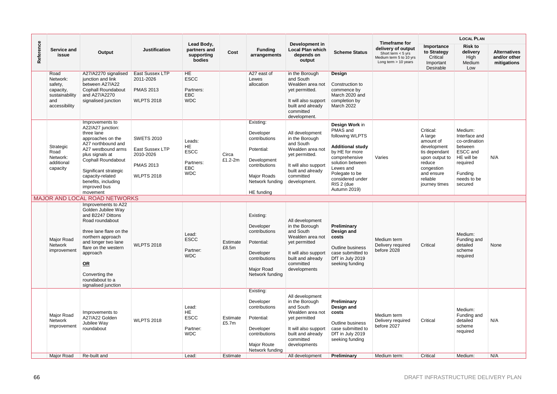|           |                                                                                    |                                                                                                                                                                                                                                                                  |                                                                                            |                                                                       |                   | Development in                                                                                                                               |                                                                                                                                                                |                                                                                                                                                                                                                  |                                                                                                                  | <b>LOCAL PLAN</b>                                                                                                                                      |                                                                                                                                 |                                                    |
|-----------|------------------------------------------------------------------------------------|------------------------------------------------------------------------------------------------------------------------------------------------------------------------------------------------------------------------------------------------------------------|--------------------------------------------------------------------------------------------|-----------------------------------------------------------------------|-------------------|----------------------------------------------------------------------------------------------------------------------------------------------|----------------------------------------------------------------------------------------------------------------------------------------------------------------|------------------------------------------------------------------------------------------------------------------------------------------------------------------------------------------------------------------|------------------------------------------------------------------------------------------------------------------|--------------------------------------------------------------------------------------------------------------------------------------------------------|---------------------------------------------------------------------------------------------------------------------------------|----------------------------------------------------|
| Reference | <b>Service and</b><br>issue                                                        | Output                                                                                                                                                                                                                                                           | <b>Justification</b>                                                                       | Lead Body,<br>partners and<br>supporting<br>bodies                    | Cost              | <b>Funding</b><br>arrangements                                                                                                               | <b>Local Plan which</b><br>depends on<br>output                                                                                                                | <b>Scheme Status</b>                                                                                                                                                                                             | Timeframe for<br>delivery of output<br>Short term $<$ 5 yrs<br>Medium term 5 to 10 yrs<br>Long term $> 10$ years | Importance<br>to Strategy<br>Critical<br>Important<br>Desirable                                                                                        | <b>Risk to</b><br>delivery<br>High<br>Medium<br>Low                                                                             | <b>Alternatives</b><br>and/or other<br>mitigations |
|           | Road<br>Network:<br>safety,<br>capacity,<br>sustainability<br>and<br>accessibility | A27/A2270 signalised<br>junction and link<br>between A27/A22<br><b>Cophall Roundabout</b><br>and A27/A2270<br>signalised junction                                                                                                                                | <b>East Sussex LTP</b><br>2011-2026<br><b>PMAS 2013</b><br><b>WLPTS 2018</b>               | <b>HE</b><br><b>ESCC</b><br>Partners:<br>EBC<br><b>WDC</b>            |                   | A27 east of<br>Lewes<br>allocation                                                                                                           | in the Borough<br>and South<br>Wealden area not<br>yet permitted.<br>It will also support<br>built and already<br>committed<br>development.                    | <b>Design</b><br>Construction to<br>commence by<br>March 2020 and<br>completion by<br>March 2022                                                                                                                 |                                                                                                                  |                                                                                                                                                        |                                                                                                                                 |                                                    |
|           | Strategic<br>Road<br>Network:<br>additional<br>capacity                            | Improvements to<br>A22/A27 junction:<br>three lane<br>approaches on the<br>A27 northbound and<br>A27 westbound arms<br>plus signals at<br>Cophall Roundabout<br>Significant strategic<br>capacity-related<br>benefits, including<br>improved bus<br>movement     | <b>SWETS 2010</b><br>East Sussex LTP<br>2010-2026<br><b>PMAS 2013</b><br><b>WLPTS 2018</b> | Leads:<br>HE.<br><b>ESCC</b><br>Partners:<br><b>EBC</b><br><b>WDC</b> | Circa<br>£1.2-2m  | Existing:<br>Developer<br>contributions<br>Potential:<br>Development<br>contributions<br><b>Major Roads</b><br>Network funding<br>HE funding | All development<br>in the Borough<br>and South<br>Wealden area not<br>yet permitted.<br>It will also support<br>built and already<br>committed<br>development. | Design Work in<br>PMAS and<br>following WLPTS<br><b>Additional study</b><br>by HE for more<br>comprehensive<br>solution between<br>Lewes and<br>Polegate to be<br>considered under<br>RIS 2 (due<br>Autumn 2019) | Varies                                                                                                           | Critical:<br>A large<br>amount of<br>development<br>tis dependant<br>upon output to<br>reduce<br>congestion<br>and ensure<br>reliable<br>journey times | Medium:<br>Interface and<br>co-ordination<br>between<br>ESCC and<br>HE will be<br>required<br>Funding<br>needs to be<br>secured | N/A                                                |
|           |                                                                                    | MAJOR AND LOCAL ROAD NETWORKS                                                                                                                                                                                                                                    |                                                                                            |                                                                       |                   |                                                                                                                                              |                                                                                                                                                                |                                                                                                                                                                                                                  |                                                                                                                  |                                                                                                                                                        |                                                                                                                                 |                                                    |
|           | Major Road<br>Network<br>improvement                                               | Improvements to A22<br>Golden Jubilee Way<br>and B2247 Dittons<br>Road roundabout<br>three lane flare on the<br>northern approach<br>and longer two lane<br>flare on the western<br>approach<br>$OR$<br>Converting the<br>roundabout to a<br>signalised junction | <b>WLPTS 2018</b>                                                                          | Lead:<br><b>ESCC</b><br>Partner:<br><b>WDC</b>                        | Estimate<br>£8.5m | Existing:<br>Developer<br>contributions<br>Potential:<br>Developer<br>contributions<br>Major Road<br>Network funding                         | All development<br>in the Borough<br>and South<br>Wealden area not<br>yet permitted<br>It will also support<br>built and already<br>committed<br>developments  | Preliminary<br>Design and<br>costs<br>Outline business<br>case submitted to<br>DfT in July 2019<br>seeking funding                                                                                               | Medium term<br>Delivery required<br>before 2028                                                                  | Critical                                                                                                                                               | Medium:<br>Funding and<br>detailed<br>scheme<br>required                                                                        | None                                               |
|           | Major Road<br>Network<br>improvement                                               | Improvements to<br>A27/A22 Golden<br>Jubilee Way<br>roundabout                                                                                                                                                                                                   | <b>WLPTS 2018</b>                                                                          | Lead:<br><b>HE</b><br><b>ESCC</b><br>Partner:<br><b>WDC</b>           | Estimate<br>£5.7m | Existing:<br>Developer<br>contributions<br>Potential:<br>Developer<br>contributions<br><b>Major Route</b><br>Network funding                 | All development<br>in the Borough<br>and South<br>Wealden area not<br>yet permitted<br>It will also support<br>built and already<br>committed<br>developments  | Preliminary<br>Design and<br>costs<br>Outline business<br>case submitted to<br>DfT in July 2019<br>seeking funding                                                                                               | Medium term<br>Delivery required<br>before 2027                                                                  | Critical                                                                                                                                               | Medium:<br>Funding and<br>detailed<br>scheme<br>required                                                                        | N/A                                                |
|           | Major Road                                                                         | Re-built and                                                                                                                                                                                                                                                     |                                                                                            | Lead:                                                                 | Estimate          |                                                                                                                                              | All development                                                                                                                                                | Preliminary                                                                                                                                                                                                      | Medium term:                                                                                                     | Critical                                                                                                                                               | Medium:                                                                                                                         | N/A                                                |
| 66        |                                                                                    |                                                                                                                                                                                                                                                                  |                                                                                            |                                                                       |                   |                                                                                                                                              |                                                                                                                                                                |                                                                                                                                                                                                                  |                                                                                                                  |                                                                                                                                                        |                                                                                                                                 | DRAFT INFRASTRUCTURE DELIVERY PLAN                 |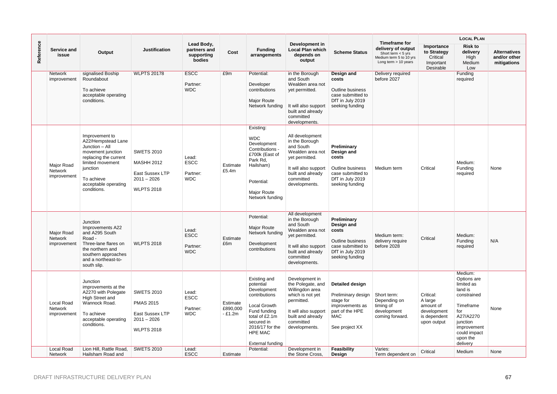|           |                                             |                                                                                                                                                                                           |                                                                                                        | Lead Body,                                     |                                  |                                                                                                                                                                                           | Development in                                                                                                                                                      |                                                                                                                          |                                                                                                                  | <b>LOCAL PLAN</b>                                                               |                                                                                                                                                                    |                                                    |  |
|-----------|---------------------------------------------|-------------------------------------------------------------------------------------------------------------------------------------------------------------------------------------------|--------------------------------------------------------------------------------------------------------|------------------------------------------------|----------------------------------|-------------------------------------------------------------------------------------------------------------------------------------------------------------------------------------------|---------------------------------------------------------------------------------------------------------------------------------------------------------------------|--------------------------------------------------------------------------------------------------------------------------|------------------------------------------------------------------------------------------------------------------|---------------------------------------------------------------------------------|--------------------------------------------------------------------------------------------------------------------------------------------------------------------|----------------------------------------------------|--|
| Reference | <b>Service and</b><br>issue                 | Output                                                                                                                                                                                    | <b>Justification</b>                                                                                   | partners and<br>supporting<br>bodies           | Cost                             | <b>Funding</b><br>arrangements                                                                                                                                                            | <b>Local Plan which</b><br>depends on<br>output                                                                                                                     | <b>Scheme Status</b>                                                                                                     | Timeframe for<br>delivery of output<br>Short term $<$ 5 yrs<br>Medium term 5 to 10 yrs<br>Long term $> 10$ years | Importance<br>to Strategy<br>Critical<br>Important<br>Desirable                 | <b>Risk to</b><br>delivery<br>High<br>Medium<br>Low                                                                                                                | <b>Alternatives</b><br>and/or other<br>mitigations |  |
|           | Network<br>improvement                      | signalised Boship<br>Roundabout<br>To achieve<br>acceptable operating<br>conditions.                                                                                                      | <b>WLPTS 20178</b>                                                                                     | <b>ESCC</b><br>Partner:<br><b>WDC</b>          | £9m                              | Potential:<br>Developer<br>contributions<br><b>Major Route</b><br>Network funding                                                                                                         | in the Borough<br>and South<br>Wealden area not<br>yet permitted.<br>It will also support<br>built and already<br>committed<br>developments.                        | Design and<br>costs<br>Outline business<br>case submitted to<br>DfT in July 2019<br>seeking funding                      | Delivery required<br>before 2027                                                                                 |                                                                                 | Funding<br>required                                                                                                                                                |                                                    |  |
|           | Major Road<br>Network<br>improvement        | Improvement to<br>A22/Hempstead Lane<br>Junction - All<br>movement junction<br>replacing the current<br>limited movement<br>junction<br>To achieve<br>acceptable operating<br>conditions. | <b>SWETS 2010</b><br><b>MASHH 2012</b><br><b>East Sussex LTP</b><br>$2011 - 2026$<br><b>WLPTS 2018</b> | Lead:<br><b>ESCC</b><br>Partner:<br><b>WDC</b> | Estimate<br>£5.4m                | Existing:<br><b>WDC</b><br>Development<br>Contributions -<br>£700k (East of<br>Park Rd,<br>Hailsham)<br>Potential:<br><b>Major Route</b><br>Network funding                               | All development<br>in the Borough<br>and South<br>Wealden area not<br>yet permitted.<br>It will also support<br>built and already<br>committed<br>developments.     | Preliminary<br>Design and<br>costs<br>Outline business<br>case submitted to<br>DfT in July 2019<br>seeking funding       | Medium term                                                                                                      | Critical                                                                        | Medium:<br>Funding<br>required                                                                                                                                     | None                                               |  |
|           | Major Road<br>Network<br>improvement        | Junction<br>Improvements A22<br>and A295 South<br>Road -<br>Three-lane flares on<br>the northern and<br>southern approaches<br>and a northeast-to-<br>south slip.                         | <b>WLPTS 2018</b>                                                                                      | Lead:<br><b>ESCC</b><br>Partner:<br><b>WDC</b> | Estimate<br>£6m                  | Potential:<br><b>Major Route</b><br>Network funding<br>Development<br>contributions                                                                                                       | All development<br>in the Borough<br>and South<br>Wealden area not<br>yet permitted.<br>It will also support<br>built and already<br>committed<br>developments.     | Preliminary<br>Design and<br>costs<br>Outline business<br>case submitted to<br>DfT in July 2019<br>seeking funding       | Medium term:<br>delivery require<br>before 2028                                                                  | Critical                                                                        | Medium:<br>Funding<br>required                                                                                                                                     | N/A                                                |  |
|           | <b>Local Road</b><br>Network<br>improvement | Junction<br>improvements at the<br>A2270 with Polegate<br>High Street and<br>Wannock Road.<br>To achieve<br>acceptable operating<br>conditions.                                           | <b>SWETS 2010</b><br><b>PMAS 2015</b><br><b>East Sussex LTP</b><br>$2011 - 2026$<br><b>WLPTS 2018</b>  | Lead:<br><b>ESCC</b><br>Partner:<br><b>WDC</b> | Estimate<br>£890,000<br>$-£1.2m$ | <b>Existing and</b><br>potential<br>Development<br>contributions<br>Local Growth<br>Fund funding<br>total of £2.1m<br>secured in<br>2016/17 for the<br>HPE MAC<br><b>External funding</b> | Development in<br>the Polegate, and<br>Willingdon area<br>which is not yet<br>permitted.<br>It will also support<br>built and already<br>committed<br>developments. | <b>Detailed design</b><br>Preliminary design<br>stage for<br>improvements as<br>part of the HPE<br>MAC<br>See project XX | Short term:<br>Depending on<br>timing of<br>development<br>coming forward.                                       | Critical:<br>A large<br>amount of<br>development<br>is dependent<br>upon output | Medium:<br>Options are<br>limited as<br>land is<br>constrained<br>Timeframe<br>for<br>A27/A2270<br>junction<br>improvement<br>could impact<br>upon the<br>delivery | None                                               |  |
|           | <b>Local Road</b><br>Network                | Lion Hill, Rattle Road,<br>Hailsham Road and                                                                                                                                              | <b>SWETS 2010</b>                                                                                      | Lead:<br><b>ESCC</b>                           | Estimate                         | Potential:                                                                                                                                                                                | Development in<br>the Stone Cross,                                                                                                                                  | Feasibility<br><b>Design</b>                                                                                             | Varies:<br>Term dependent on                                                                                     | Critical                                                                        | Medium                                                                                                                                                             | None                                               |  |
|           |                                             | DRAFT INFRASTRUCTURE DELIVERY PLAN                                                                                                                                                        |                                                                                                        |                                                |                                  |                                                                                                                                                                                           |                                                                                                                                                                     |                                                                                                                          |                                                                                                                  |                                                                                 |                                                                                                                                                                    | 67                                                 |  |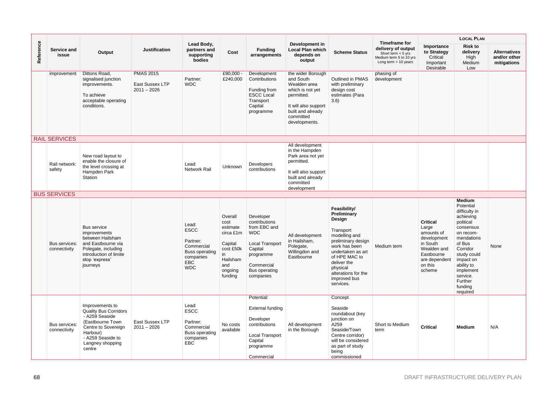|           |                               |                                                                                                                                                                             |                                                             |                                                                                                                  |                                                                                                      |                                                                                                                                                                  |                                                                                                                                                             |                                                                                                                                                                                                                                        | <b>LOCAL PLAN</b>                                                                                                |                                                                                                                                      |                                                                                                                                                                                                                                          |                                                    |
|-----------|-------------------------------|-----------------------------------------------------------------------------------------------------------------------------------------------------------------------------|-------------------------------------------------------------|------------------------------------------------------------------------------------------------------------------|------------------------------------------------------------------------------------------------------|------------------------------------------------------------------------------------------------------------------------------------------------------------------|-------------------------------------------------------------------------------------------------------------------------------------------------------------|----------------------------------------------------------------------------------------------------------------------------------------------------------------------------------------------------------------------------------------|------------------------------------------------------------------------------------------------------------------|--------------------------------------------------------------------------------------------------------------------------------------|------------------------------------------------------------------------------------------------------------------------------------------------------------------------------------------------------------------------------------------|----------------------------------------------------|
| Reference | <b>Service and</b><br>issue   | Output                                                                                                                                                                      | <b>Justification</b>                                        | Lead Body,<br>partners and<br>supporting<br>bodies                                                               | Cost                                                                                                 | <b>Funding</b><br>arrangements                                                                                                                                   | Development in<br><b>Local Plan which</b><br>depends on<br>output                                                                                           | <b>Scheme Status</b>                                                                                                                                                                                                                   | Timeframe for<br>delivery of output<br>Short term $<$ 5 yrs<br>Medium term 5 to 10 yrs<br>Long term $> 10$ years | Importance<br>to Strategy<br>Critical<br>Important<br>Desirable                                                                      | <b>Risk to</b><br>delivery<br>High<br>Medium<br>Low                                                                                                                                                                                      | <b>Alternatives</b><br>and/or other<br>mitigations |
|           | improvement                   | Dittons Road,<br>signalised junction<br>improvements.<br>To achieve<br>acceptable operating<br>conditions.                                                                  | <b>PMAS 2015</b><br><b>East Sussex LTP</b><br>$2011 - 2026$ | Partner:<br><b>WDC</b>                                                                                           | £90,000 -<br>£240,000                                                                                | Development<br>Contributions<br>Funding from<br><b>ESCC Local</b><br>Transport<br>Capital<br>programme                                                           | the wider Borough<br>and South<br>Wealden area<br>which is not yet<br>permitted.<br>It will also support<br>built and already<br>committed<br>developments. | Outlined in PMAS<br>with preliminary<br>design cost<br>estimates (Para<br>3.6)                                                                                                                                                         | phasing of<br>development                                                                                        |                                                                                                                                      |                                                                                                                                                                                                                                          |                                                    |
|           | <b>RAIL SERVICES</b>          |                                                                                                                                                                             |                                                             |                                                                                                                  |                                                                                                      |                                                                                                                                                                  |                                                                                                                                                             |                                                                                                                                                                                                                                        |                                                                                                                  |                                                                                                                                      |                                                                                                                                                                                                                                          |                                                    |
|           | Rail network:<br>safety       | New road layout to<br>enable the closure of<br>the level crossing at<br>Hampden Park<br>Station                                                                             |                                                             | Lead:<br><b>Network Rail</b>                                                                                     | Unknown                                                                                              | Developers<br>contributions                                                                                                                                      | All development<br>in the Hampden<br>Park area not yet<br>permitted.<br>It will also support<br>built and already<br>committed<br>development               |                                                                                                                                                                                                                                        |                                                                                                                  |                                                                                                                                      |                                                                                                                                                                                                                                          |                                                    |
|           | <b>BUS SERVICES</b>           |                                                                                                                                                                             |                                                             |                                                                                                                  |                                                                                                      |                                                                                                                                                                  |                                                                                                                                                             |                                                                                                                                                                                                                                        |                                                                                                                  |                                                                                                                                      |                                                                                                                                                                                                                                          |                                                    |
|           | Bus services:<br>connectivity | Bus service<br>improvements<br>between Hailsham<br>and Eastbourne via<br>Polegate, including<br>introduction of limite<br>stop 'express'<br>journeys                        |                                                             | Lead:<br><b>ESCC</b><br>Partner:<br>Commercial<br><b>Buss operating</b><br>companies<br><b>EBC</b><br><b>WDC</b> | Overall<br>cost<br>estimate<br>circa £1m<br>cost £50k<br>in<br>Hailsham<br>and<br>ongoing<br>funding | Developer<br>contributions<br>from EBC and<br><b>WDC</b><br>Capital   Local Transport<br>Capital<br>programme<br>Commercial<br><b>Bus operating</b><br>companies | All development<br>in Hailsham,<br>Polegate,<br>Willingdon and<br>Eastbourne                                                                                | Feasibility/<br>Preliminary<br><b>Design</b><br>Transport<br>modelling and<br>preliminary design<br>work has been<br>undertaken as art<br>of HPE MAC to<br>deliver the<br>physical<br>alterations for the<br>improved bus<br>services. | Medium term                                                                                                      | <b>Critical</b><br>Large<br>amounts of<br>development<br>in South<br>Wealden and<br>Eastbourne<br>are dependent<br>on this<br>scheme | <b>Medium</b><br>Potential<br>difficulty in<br>achieving<br>political<br>consensus<br>on recom-<br>mendations<br>of Bus<br>Corridor<br>study could<br>impact on<br>ability to<br>implement<br>service.<br>Further<br>funding<br>required | None                                               |
|           | Bus services:<br>connectivity | Improvements to<br><b>Quality Bus Corridors</b><br>- A259 Seaside<br>(Eastbourne Town<br>Centre to Sovereign<br>Harbour)<br>- A259 Seaside to<br>Langney shopping<br>centre | <b>East Sussex LTP</b><br>$2011 - 2026$                     | Lead:<br><b>ESCC</b><br>Partner:<br>Commercial<br><b>Buss operating</b><br>companies<br><b>EBC</b>               | No costs<br>available                                                                                | Potential:<br><b>External funding</b><br>Developer<br>contributions<br><b>Local Transport</b><br>Capital<br>programme<br>Commercial                              | All development<br>in the Borough                                                                                                                           | Concept<br>Seaside<br>roundabout (key<br>junction on<br>A259<br>Seaside/Town<br>Centre corridor)<br>will be considered<br>as part of study<br>being<br>commissioned                                                                    | Short to Medium<br>term                                                                                          | <b>Critical</b>                                                                                                                      | <b>Medium</b>                                                                                                                                                                                                                            | N/A                                                |
| 68        |                               |                                                                                                                                                                             |                                                             |                                                                                                                  |                                                                                                      |                                                                                                                                                                  |                                                                                                                                                             |                                                                                                                                                                                                                                        |                                                                                                                  |                                                                                                                                      |                                                                                                                                                                                                                                          | DRAFT INFRASTRUCTURE DELIVERY PLAN                 |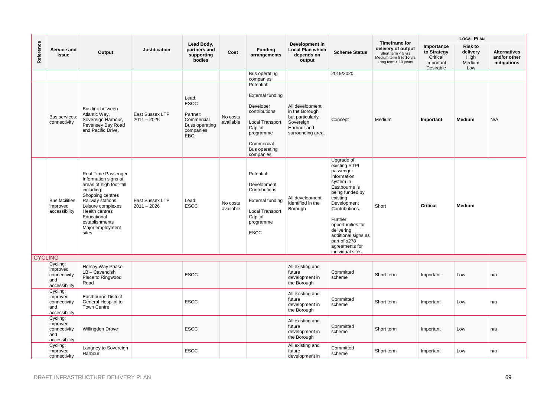|                |                                                              |                                                                                                                                                                                                                                   | Lead Body,                              |                                                                                                    |                                                              | Development in                                                                                                                                      |                                                                                                        |                                                                                                                                                                                                                                                                                   |                                                                                                                  | <b>LOCAL PLAN</b>                                               |                                                     |                                                    |
|----------------|--------------------------------------------------------------|-----------------------------------------------------------------------------------------------------------------------------------------------------------------------------------------------------------------------------------|-----------------------------------------|----------------------------------------------------------------------------------------------------|--------------------------------------------------------------|-----------------------------------------------------------------------------------------------------------------------------------------------------|--------------------------------------------------------------------------------------------------------|-----------------------------------------------------------------------------------------------------------------------------------------------------------------------------------------------------------------------------------------------------------------------------------|------------------------------------------------------------------------------------------------------------------|-----------------------------------------------------------------|-----------------------------------------------------|----------------------------------------------------|
| Reference      | <b>Service and</b><br>issue                                  | Output                                                                                                                                                                                                                            | <b>Justification</b>                    |                                                                                                    | partners and<br>Cost<br>supporting<br>arrangements<br>bodies |                                                                                                                                                     | <b>Local Plan which</b><br>depends on<br>output                                                        | <b>Scheme Status</b>                                                                                                                                                                                                                                                              | Timeframe for<br>delivery of output<br>Short term $<$ 5 yrs<br>Medium term 5 to 10 yrs<br>Long term $> 10$ years | Importance<br>to Strategy<br>Critical<br>Important<br>Desirable | <b>Risk to</b><br>delivery<br>High<br>Medium<br>Low | <b>Alternatives</b><br>and/or other<br>mitigations |
|                |                                                              |                                                                                                                                                                                                                                   |                                         |                                                                                                    |                                                              | Bus operating<br>companies                                                                                                                          |                                                                                                        | 2019/2020.                                                                                                                                                                                                                                                                        |                                                                                                                  |                                                                 |                                                     |                                                    |
|                |                                                              |                                                                                                                                                                                                                                   |                                         |                                                                                                    |                                                              | Potential:                                                                                                                                          |                                                                                                        |                                                                                                                                                                                                                                                                                   |                                                                                                                  |                                                                 |                                                     |                                                    |
|                | Bus services:<br>connectivity                                | Bus link between<br>Atlantic Way,<br>Sovereign Harbour,<br>Pevensey Bay Road<br>and Pacific Drive.                                                                                                                                | <b>East Sussex LTP</b><br>$2011 - 2026$ | Lead:<br><b>ESCC</b><br>Partner:<br>Commercial<br><b>Buss operating</b><br>companies<br><b>EBC</b> | No costs<br>available                                        | <b>External funding</b><br>Developer<br>contributions<br><b>Local Transport</b><br>Capital<br>programme<br>Commercial<br>Bus operating<br>companies | All development<br>in the Borough<br>but particularly<br>Sovereign<br>Harbour and<br>surrounding area. | Concept                                                                                                                                                                                                                                                                           | Medium                                                                                                           | Important                                                       | <b>Medium</b>                                       | N/A                                                |
|                | Bus facilities:<br>improved<br>accessibility                 | Real Time Passenger<br>Information signs at<br>areas of high foot-fall<br>including:<br>Shopping centres<br>Railway stations<br>Leisure complexes<br>Health centres<br>Educational<br>establishments<br>Major employment<br>sites | East Sussex LTP<br>$2011 - 2026$        | Lead:<br><b>ESCC</b>                                                                               | No costs<br>available                                        | Potential:<br>Development<br>Contributions<br><b>External funding</b><br><b>Local Transport</b><br>Capital<br>programme<br><b>ESCC</b>              | All development<br>identified in the<br>Borough                                                        | Upgrade of<br>existing RTPI<br>passenger<br>information<br>system in<br>Eastbourne is<br>being funded by<br>existing<br>Development<br>Contributions.<br>Further<br>opportunities for<br>delivering<br>additional signs as<br>part of s278<br>agreements for<br>individual sites. | Short                                                                                                            | <b>Critical</b>                                                 | <b>Medium</b>                                       |                                                    |
| <b>CYCLING</b> |                                                              |                                                                                                                                                                                                                                   |                                         |                                                                                                    |                                                              |                                                                                                                                                     |                                                                                                        |                                                                                                                                                                                                                                                                                   |                                                                                                                  |                                                                 |                                                     |                                                    |
|                | Cycling:<br>improved<br>connectivity<br>and<br>accessibility | Horsey Way Phase<br>1B - Cavendish<br>Place to Ringwood<br>Road                                                                                                                                                                   |                                         | <b>ESCC</b>                                                                                        |                                                              |                                                                                                                                                     | All existing and<br>future<br>development in<br>the Borough                                            | Committed<br>scheme                                                                                                                                                                                                                                                               | Short term                                                                                                       | Important                                                       | Low                                                 | n/a                                                |
|                | Cycling:<br>improved<br>connectivity<br>and<br>accessibility | <b>Eastbourne District</b><br>General Hospital to<br><b>Town Centre</b>                                                                                                                                                           |                                         | <b>ESCC</b>                                                                                        |                                                              |                                                                                                                                                     | All existing and<br>future<br>development in<br>the Borough                                            | Committed<br>scheme                                                                                                                                                                                                                                                               | Short term                                                                                                       | Important                                                       | Low                                                 | n/a                                                |
|                | Cycling:<br>improved<br>connectivity<br>and<br>accessibility | Willingdon Drove                                                                                                                                                                                                                  |                                         | <b>ESCC</b>                                                                                        |                                                              |                                                                                                                                                     | All existing and<br>future<br>development in<br>the Borough                                            | Committed<br>scheme                                                                                                                                                                                                                                                               | Short term                                                                                                       | Important                                                       | Low                                                 | n/a                                                |
|                | Cycling:<br>improved<br>connectivity                         | Langney to Sovereign<br>Harbour                                                                                                                                                                                                   |                                         | <b>ESCC</b>                                                                                        |                                                              |                                                                                                                                                     | All existing and<br>future<br>development in                                                           | Committed<br>scheme                                                                                                                                                                                                                                                               | Short term                                                                                                       | Important                                                       | Low                                                 | n/a                                                |
|                |                                                              | DRAFT INFRASTRUCTURE DELIVERY PLAN                                                                                                                                                                                                |                                         |                                                                                                    |                                                              |                                                                                                                                                     |                                                                                                        |                                                                                                                                                                                                                                                                                   |                                                                                                                  |                                                                 |                                                     | 69                                                 |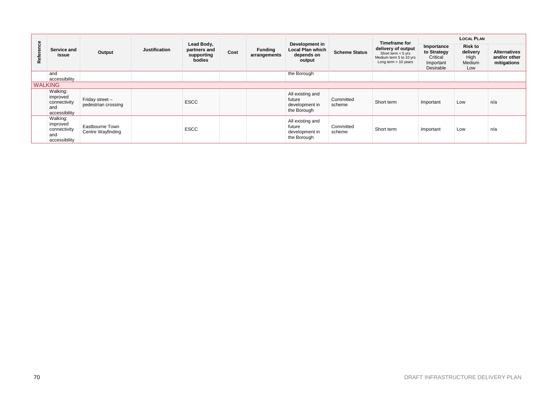|           |                                                              |                                        |                      | Lead Body,                           |                      | <b>Funding</b> | Development in                                              |                      | <b>Timeframe for</b>                                                                          |                                                                 | <b>LOCAL PLAN</b>                                   |                                                    |
|-----------|--------------------------------------------------------------|----------------------------------------|----------------------|--------------------------------------|----------------------|----------------|-------------------------------------------------------------|----------------------|-----------------------------------------------------------------------------------------------|-----------------------------------------------------------------|-----------------------------------------------------|----------------------------------------------------|
| Reference | <b>Service and</b><br>issue                                  | Output                                 | <b>Justification</b> | partners and<br>supporting<br>bodies | Cost<br>arrangements |                | <b>Local Plan which</b><br>depends on<br>output             | <b>Scheme Status</b> | delivery of output<br>Short term < 5 yrs<br>Medium term 5 to 10 yrs<br>Long term $> 10$ years | Importance<br>to Strategy<br>Critical<br>Important<br>Desirable | <b>Risk to</b><br>delivery<br>High<br>Medium<br>Low | <b>Alternatives</b><br>and/or other<br>mitigations |
|           | and<br>accessibility                                         |                                        |                      |                                      |                      |                | the Borough                                                 |                      |                                                                                               |                                                                 |                                                     |                                                    |
|           | <b>WALKING</b>                                               |                                        |                      |                                      |                      |                |                                                             |                      |                                                                                               |                                                                 |                                                     |                                                    |
|           | Walking:<br>improved<br>connectivity<br>and<br>accessibility | Friday street -<br>pedestrian crossing |                      | <b>ESCC</b>                          |                      |                | All existing and<br>future<br>development in<br>the Borough | Committed<br>scheme  | Short term                                                                                    | Important                                                       | Low                                                 | n/a                                                |
|           | Walking:<br>improved<br>connectivity<br>and<br>accessibility | Eastbourne Town<br>Centre Wayfinding   |                      | ESCC                                 |                      |                | All existing and<br>future<br>development in<br>the Borough | Committed<br>scheme  | Short term                                                                                    | Important                                                       | Low                                                 | n/a                                                |
|           |                                                              |                                        |                      |                                      |                      |                |                                                             |                      |                                                                                               |                                                                 |                                                     |                                                    |
| 70        |                                                              |                                        |                      |                                      |                      |                |                                                             |                      |                                                                                               |                                                                 |                                                     | DRAFT INFRASTRUCTURE DELIVERY PLAN                 |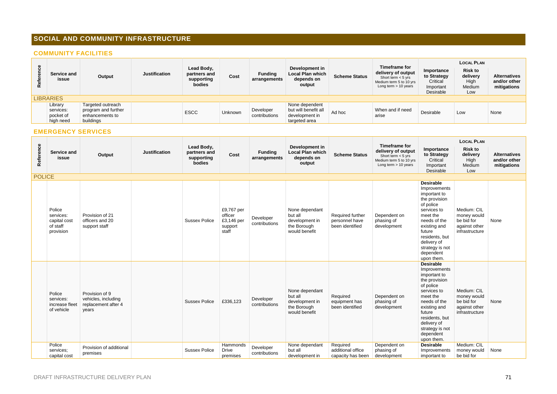# **SOCIAL AND COMMUNITY INFRASTRUCTURE**

### **COMMUNITY FACILITIES**

|            |                                                | <b>COMMUNITY FACILITIES</b>                                              |                      |                                                    |         |                                |                                                                           |                      |                                                                                                 |                                                                 |                                                     |                                                    |  |
|------------|------------------------------------------------|--------------------------------------------------------------------------|----------------------|----------------------------------------------------|---------|--------------------------------|---------------------------------------------------------------------------|----------------------|-------------------------------------------------------------------------------------------------|-----------------------------------------------------------------|-----------------------------------------------------|----------------------------------------------------|--|
|            |                                                |                                                                          |                      |                                                    |         |                                |                                                                           |                      | Timeframe for                                                                                   |                                                                 | <b>LOCAL PLAN</b>                                   |                                                    |  |
| ဗ္ယ<br>Ref | <b>Service and</b><br>issue                    | Output                                                                   | <b>Justification</b> | Lead Body,<br>partners and<br>supporting<br>bodies | Cost    | <b>Funding</b><br>arrangements | Development in<br><b>Local Plan which</b><br>depends on<br>output         | <b>Scheme Status</b> | delivery of output<br>Short term $<$ 5 yrs<br>Medium term 5 to 10 yrs<br>Long term $> 10$ years | Importance<br>to Strategy<br>Critical<br>Important<br>Desirable | <b>Risk to</b><br>delivery<br>High<br>Medium<br>Low | <b>Alternatives</b><br>and/or other<br>mitigations |  |
|            | <b>LIBRARIES</b>                               |                                                                          |                      |                                                    |         |                                |                                                                           |                      |                                                                                                 |                                                                 |                                                     |                                                    |  |
|            | Library<br>services:<br>pocket of<br>high need | Targeted outreach<br>program and further<br>enhancements to<br>buildings |                      | <b>ESCC</b>                                        | Unknown | Developer<br>contributions     | None dependent<br>but will benefit all<br>development in<br>targeted area | Ad hoc               | When and if need<br>arise                                                                       | Desirable                                                       | Low                                                 | None                                               |  |
|            | <b>EMERGENCY SERVICES</b>                      |                                                                          |                      |                                                    |         |                                |                                                                           |                      |                                                                                                 |                                                                 |                                                     |                                                    |  |

### **EMERGENCY SERVICES**

|               |                                                              |                                                                       | Lead Body,           |                                      |                                                         | Development in                 |                                                                             | Timeframe for                                         |                                                                                                 | <b>LOCAL PLAN</b>                                                                                                                                                                                                                  |                                                                             |                                                    |
|---------------|--------------------------------------------------------------|-----------------------------------------------------------------------|----------------------|--------------------------------------|---------------------------------------------------------|--------------------------------|-----------------------------------------------------------------------------|-------------------------------------------------------|-------------------------------------------------------------------------------------------------|------------------------------------------------------------------------------------------------------------------------------------------------------------------------------------------------------------------------------------|-----------------------------------------------------------------------------|----------------------------------------------------|
| Reference     | <b>Service and</b><br>issue                                  | Output                                                                | <b>Justification</b> | partners and<br>supporting<br>bodies | <b>Cost</b>                                             | <b>Funding</b><br>arrangements | <b>Local Plan which</b><br>depends on<br>output                             | <b>Scheme Status</b>                                  | delivery of output<br>Short term $<$ 5 yrs<br>Medium term 5 to 10 yrs<br>Long term $> 10$ years | Importance<br>to Strategy<br>Critical<br>Important<br>Desirable                                                                                                                                                                    | <b>Risk to</b><br>delivery<br>High<br>Medium<br>Low                         | <b>Alternatives</b><br>and/or other<br>mitigations |
| <b>POLICE</b> |                                                              |                                                                       |                      |                                      |                                                         |                                |                                                                             |                                                       |                                                                                                 |                                                                                                                                                                                                                                    |                                                                             |                                                    |
|               | Police<br>services:<br>capital cost<br>of staff<br>provision | Provision of 21<br>officers and 20<br>support staff                   |                      | <b>Sussex Police</b>                 | £9,767 per<br>officer<br>£3,146 per<br>support<br>staff | Developer<br>contributions     | None dependant<br>but all<br>development in<br>the Borough<br>would benefit | Required further<br>personnel have<br>been identified | Dependent on<br>phasing of<br>development                                                       | <b>Desirable</b><br>Improvements<br>important to<br>the provision<br>of police<br>services to<br>meet the<br>needs of the<br>existing and<br>future<br>residents, but<br>delivery of<br>strategy is not<br>dependent<br>upon them. | Medium: CIL<br>money would<br>be bid for<br>against other<br>infrastructure | None                                               |
|               | Police<br>services:<br>increase fleet<br>of vehicle          | Provision of 9<br>vehicles, including<br>replacement after 4<br>years |                      | <b>Sussex Police</b>                 | £336,123                                                | Developer<br>contributions     | None dependant<br>but all<br>development in<br>the Borough<br>would benefit | Required<br>equipment has<br>been identified          | Dependent on<br>phasing of<br>development                                                       | <b>Desirable</b><br>Improvements<br>important to<br>the provision<br>of police<br>services to<br>meet the<br>needs of the<br>existing and<br>future<br>residents, but<br>delivery of<br>strategy is not<br>dependent<br>upon them. | Medium: CIL<br>money would<br>be bid for<br>against other<br>infrastructure | None                                               |
|               | Police<br>services;<br>capital cost                          | Provision of additional<br>premises                                   |                      | <b>Sussex Police</b>                 | Hammonds<br><b>Drive</b><br>premises                    | Developer<br>contributions     | None dependant<br>but all<br>development in                                 | Required<br>additional office<br>capacity has been    | Dependent on<br>phasing of<br>development                                                       | <b>Desirable</b><br>Improvements<br>important to                                                                                                                                                                                   | Medium: CIL<br>money would<br>be bid for                                    | None                                               |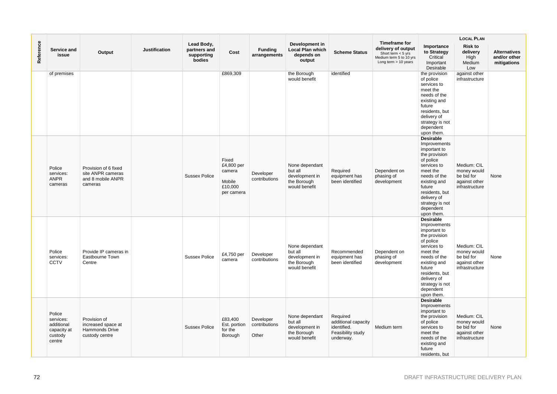|           |                                                                       |                                                                           |                      |                                                    |                                                                  |                                     |                                                                             |                                                                                  | <b>Timeframe for</b>                                                                            |                                                                                                                                                                                                                                    | <b>LOCAL PLAN</b>                                                           |                                                    |
|-----------|-----------------------------------------------------------------------|---------------------------------------------------------------------------|----------------------|----------------------------------------------------|------------------------------------------------------------------|-------------------------------------|-----------------------------------------------------------------------------|----------------------------------------------------------------------------------|-------------------------------------------------------------------------------------------------|------------------------------------------------------------------------------------------------------------------------------------------------------------------------------------------------------------------------------------|-----------------------------------------------------------------------------|----------------------------------------------------|
| Reference | <b>Service and</b><br>issue                                           | Output                                                                    | <b>Justification</b> | Lead Body,<br>partners and<br>supporting<br>bodies | Cost                                                             | <b>Funding</b><br>arrangements      | Development in<br><b>Local Plan which</b><br>depends on<br>output           | <b>Scheme Status</b>                                                             | delivery of output<br>Short term $<$ 5 yrs<br>Medium term 5 to 10 yrs<br>Long term $> 10$ years | Importance<br>to Strategy<br>Critical<br>Important<br>Desirable                                                                                                                                                                    | <b>Risk to</b><br>delivery<br>High<br>Medium<br>Low                         | <b>Alternatives</b><br>and/or other<br>mitigations |
|           | of premises                                                           |                                                                           |                      |                                                    | £869,309                                                         |                                     | the Borough<br>would benefit                                                | identified                                                                       |                                                                                                 | the provision<br>of police<br>services to<br>meet the<br>needs of the<br>existing and<br>future<br>residents, but<br>delivery of<br>strategy is not<br>dependent<br>upon them.                                                     | against other<br>infrastructure                                             |                                                    |
|           | Police<br>services:<br><b>ANPR</b><br>cameras                         | Provision of 6 fixed<br>site ANPR cameras<br>and 8 mobile ANPR<br>cameras |                      | <b>Sussex Police</b>                               | Fixed<br>£4,800 per<br>camera<br>Mobile<br>£10,000<br>per camera | Developer<br>contributions          | None dependant<br>but all<br>development in<br>the Borough<br>would benefit | Required<br>equipment has<br>been identified                                     | Dependent on<br>phasing of<br>development                                                       | <b>Desirable</b><br>Improvements<br>important to<br>the provision<br>of police<br>services to<br>meet the<br>needs of the<br>existing and<br>future<br>residents, but<br>delivery of<br>strategy is not<br>dependent<br>upon them. | Medium: CIL<br>money would<br>be bid for<br>against other<br>infrastructure | None                                               |
|           | Police<br>services:<br><b>CCTV</b>                                    | Provide IP cameras in<br>Eastbourne Town<br>Centre                        |                      | <b>Sussex Police</b>                               | £4,750 per<br>camera                                             | Developer<br>contributions          | None dependant<br>but all<br>development in<br>the Borough<br>would benefit | Recommended<br>equipment has<br>been identified                                  | Dependent on<br>phasing of<br>development                                                       | <b>Desirable</b><br>Improvements<br>important to<br>the provision<br>of police<br>services to<br>meet the<br>needs of the<br>existing and<br>future<br>residents, but<br>delivery of<br>strategy is not<br>dependent<br>upon them. | Medium: CIL<br>money would<br>be bid for<br>against other<br>infrastructure | None                                               |
|           | Police<br>services:<br>additional<br>capacity at<br>custody<br>centre | Provision of<br>increased space at<br>Hammonds Drive<br>custody centre    |                      | <b>Sussex Police</b>                               | £83,400<br>Est. portion<br>for the<br>Borough                    | Developer<br>contributions<br>Other | None dependant<br>but all<br>development in<br>the Borough<br>would benefit | Required<br>additional capacity<br>identified.<br>Feasibility study<br>underway. | Medium term                                                                                     | <b>Desirable</b><br>Improvements<br>important to<br>the provision<br>of police<br>services to<br>meet the<br>needs of the<br>existing and<br>future<br>residents, but                                                              | Medium: CIL<br>money would<br>be bid for<br>against other<br>infrastructure | None                                               |
| 72        |                                                                       |                                                                           |                      |                                                    |                                                                  |                                     |                                                                             |                                                                                  |                                                                                                 | DRAFT INFRASTRUCTURE DELIVERY PLAN                                                                                                                                                                                                 |                                                                             |                                                    |

|                                                                                                                                                                                                                                    | <b>LOCAL PLAN</b>                                                           |                                             |
|------------------------------------------------------------------------------------------------------------------------------------------------------------------------------------------------------------------------------------|-----------------------------------------------------------------------------|---------------------------------------------|
| Importance<br>to Strategy<br>Critical<br>Important<br>Desirable                                                                                                                                                                    | <b>Risk to</b><br>delivery<br>High<br>Medium<br>Low                         | Alternatives<br>and/or other<br>mitigations |
| the provision<br>of police<br>services to<br>meet the<br>needs of the<br>existing and<br>future<br>residents, but<br>delivery of<br>strategy is not<br>dependent<br>upon them.                                                     | against other<br>infrastructure                                             |                                             |
| <b>Desirable</b><br>Improvements<br>important to<br>the provision<br>of police<br>services to<br>meet the<br>needs of the<br>existing and<br>future<br>residents, but<br>delivery of<br>strategy is not<br>dependent<br>upon them. | Medium: CIL<br>money would<br>be bid for<br>against other<br>infrastructure | None                                        |
| <b>Desirable</b><br>Improvements<br>important to<br>the provision<br>of police<br>services to<br>meet the<br>needs of the<br>existing and<br>future<br>residents, but<br>delivery of<br>strategy is not<br>dependent<br>upon them. | Medium: CIL<br>money would<br>be bid for<br>against other<br>infrastructure | None                                        |
| <b>Desirable</b><br>Improvements<br>important to<br>the provision<br>of police<br>services to<br>meet the<br>needs of the<br>existing and<br>future<br>residents, but                                                              | Medium: CIL<br>money would<br>be bid for<br>against other<br>infrastructure | None                                        |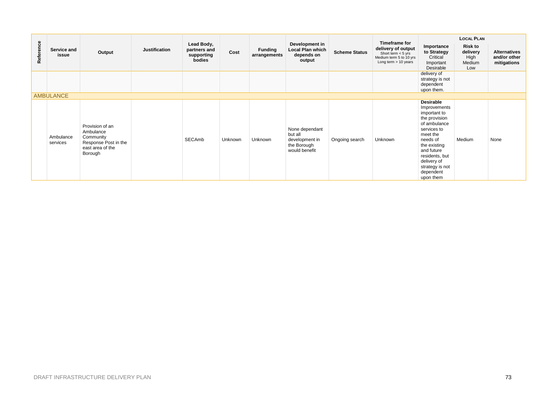|                                    | <b>Service and</b><br>issue | Output                                                                                           | <b>Justification</b> | Lead Body,<br>partners and<br>supporting<br>bodies | Cost    | <b>Funding</b><br>arrangements | Development in<br><b>Local Plan which</b><br>depends on<br>output           | <b>Scheme Status</b> | <b>Timeframe for</b><br>delivery of output<br>Short term < 5 yrs<br>Medium term 5 to 10 yrs<br>Long term $> 10$ years | <b>LOCAL PLAN</b>                                                                                                                                                                                                                    |                                                     |                                                    |
|------------------------------------|-----------------------------|--------------------------------------------------------------------------------------------------|----------------------|----------------------------------------------------|---------|--------------------------------|-----------------------------------------------------------------------------|----------------------|-----------------------------------------------------------------------------------------------------------------------|--------------------------------------------------------------------------------------------------------------------------------------------------------------------------------------------------------------------------------------|-----------------------------------------------------|----------------------------------------------------|
| Reference                          |                             |                                                                                                  |                      |                                                    |         |                                |                                                                             |                      |                                                                                                                       | Importance<br>to Strategy<br>Critical<br>Important<br>Desirable                                                                                                                                                                      | <b>Risk to</b><br>delivery<br>High<br>Medium<br>Low | <b>Alternatives</b><br>and/or other<br>mitigations |
|                                    |                             |                                                                                                  |                      |                                                    |         |                                |                                                                             |                      |                                                                                                                       | delivery of<br>strategy is not<br>dependent<br>upon them.                                                                                                                                                                            |                                                     |                                                    |
|                                    | <b>AMBULANCE</b>            |                                                                                                  |                      |                                                    |         |                                |                                                                             |                      |                                                                                                                       |                                                                                                                                                                                                                                      |                                                     |                                                    |
|                                    | Ambulance<br>services       | Provision of an<br>Ambulance<br>Community<br>Response Post in the<br>east area of the<br>Borough |                      | SECAmb                                             | Unknown | Unknown                        | None dependant<br>but all<br>development in<br>the Borough<br>would benefit | Ongoing search       | Unknown                                                                                                               | <b>Desirable</b><br>Improvements<br>important to<br>the provision<br>of ambulance<br>services to<br>meet the<br>needs of<br>the existing<br>and future<br>residents, but<br>delivery of<br>strategy is not<br>dependent<br>upon them | Medium                                              | None                                               |
|                                    |                             |                                                                                                  |                      |                                                    |         |                                |                                                                             |                      |                                                                                                                       |                                                                                                                                                                                                                                      |                                                     |                                                    |
| DRAFT INFRASTRUCTURE DELIVERY PLAN |                             |                                                                                                  |                      |                                                    |         |                                |                                                                             |                      |                                                                                                                       | 73                                                                                                                                                                                                                                   |                                                     |                                                    |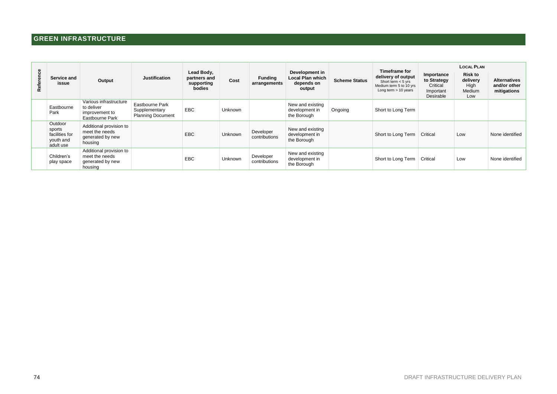## **GREEN INFRASTRUCTURE**

| ဗ္ယ<br>Ref | <b>Service and</b><br>issue                                   | Output                                                                    | <b>Justification</b>                                         | Lead Body,<br>partners and<br>supporting<br><b>bodies</b> | <b>Cost</b> | <b>Funding</b><br>arrangements | Development in<br><b>Local Plan which</b><br>depends on<br>output | <b>Scheme Status</b> | Timeframe for<br>delivery of output<br>Short term $<$ 5 yrs<br>Medium term 5 to 10 yrs<br>Long term $> 10$ years | Importance<br>to Strategy<br>Critical<br>Important<br>Desirable | <b>LOCAL PLAN</b><br><b>Risk to</b><br>delivery<br>High<br>Medium<br>Low | <b>Alternatives</b><br>and/or other<br>mitigations |
|------------|---------------------------------------------------------------|---------------------------------------------------------------------------|--------------------------------------------------------------|-----------------------------------------------------------|-------------|--------------------------------|-------------------------------------------------------------------|----------------------|------------------------------------------------------------------------------------------------------------------|-----------------------------------------------------------------|--------------------------------------------------------------------------|----------------------------------------------------|
|            | Eastbourne<br>Park                                            | Various infrastructure<br>to deliver<br>improvement to<br>Eastbourne Park | Eastbourne Park<br>Supplementary<br><b>Planning Document</b> | <b>EBC</b>                                                | Unknown     |                                | New and existing<br>development in<br>the Borough                 | Ongoing              | Short to Long Term                                                                                               |                                                                 |                                                                          |                                                    |
|            | Outdoor<br>sports<br>facilities for<br>youth and<br>adult use | Additional provision to<br>meet the needs<br>generated by new<br>housing  |                                                              | <b>EBC</b>                                                | Unknown     | Developer<br>contributions     | New and existing<br>development in<br>the Borough                 |                      | Short to Long Term                                                                                               | Critical                                                        | Low                                                                      | None identified                                    |
|            | Children's<br>play space                                      | Additional provision to<br>meet the needs<br>generated by new<br>housing  |                                                              | <b>EBC</b>                                                | Unknown     | Developer<br>contributions     | New and existing<br>development in<br>the Borough                 |                      | Short to Long Term                                                                                               | Critical                                                        | Low                                                                      | None identified                                    |